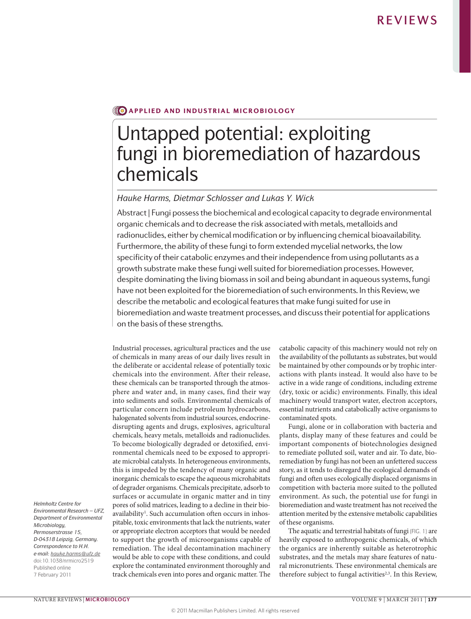#### **CAPPLIED AND INDUSTRIAL MICROBIOLOGY**

# Untapped potential: exploiting fungi in bioremediation of hazardous chemicals

### *Hauke Harms, Dietmar Schlosser and Lukas Y. Wick*

Abstract | Fungi possess the biochemical and ecological capacity to degrade environmental organic chemicals and to decrease the risk associated with metals, metalloids and radionuclides, either by chemical modification or by influencing chemical bioavailability. Furthermore, the ability of these fungi to form extended mycelial networks, the low specificity of their catabolic enzymes and their independence from using pollutants as a growth substrate make these fungi well suited for bioremediation processes. However, despite dominating the living biomass in soil and being abundant in aqueous systems, fungi have not been exploited for the bioremediation of such environments. In this Review, we describe the metabolic and ecological features that make fungi suited for use in bioremediation and waste treatment processes, and discuss their potential for applications on the basis of these strengths.

Industrial processes, agricultural practices and the use of chemicals in many areas of our daily lives result in the deliberate or accidental release of potentially toxic chemicals into the environment. After their release, these chemicals can be transported through the atmosphere and water and, in many cases, find their way into sediments and soils. Environmental chemicals of particular concern include petroleum hydrocarbons, halogenated solvents from industrial sources, endocrinedisrupting agents and drugs, explosives, agricultural chemicals, heavy metals, metalloids and radionuclides. To become biologically degraded or detoxified, environmental chemicals need to be exposed to appropriate microbial catalysts. In heterogeneous environments, this is impeded by the tendency of many organic and inorganic chemicals to escape the aqueous microhabitats of degrader organisms. Chemicals precipitate, adsorb to surfaces or accumulate in organic matter and in tiny pores of solid matrices, leading to a decline in their bioavailability<sup>1</sup>. Such accumulation often occurs in inhospitable, toxic environments that lack the nutrients, water or appropriate electron acceptors that would be needed to support the growth of microorganisms capable of remediation. The ideal decontamination machinery would be able to cope with these conditions, and could explore the contaminated environment thoroughly and track chemicals even into pores and organic matter. The

catabolic capacity of this machinery would not rely on the availability of the pollutants as substrates, but would be maintained by other compounds or by trophic interactions with plants instead. It would also have to be active in a wide range of conditions, including extreme (dry, toxic or acidic) environments. Finally, this ideal machinery would transport water, electron acceptors, essential nutrients and catabolically active organisms to contaminated spots.

Fungi, alone or in collaboration with bacteria and plants, display many of these features and could be important components of biotechnologies designed to remediate polluted soil, water and air. To date, bioremediation by fungi has not been an unfettered success story, as it tends to disregard the ecological demands of fungi and often uses ecologically displaced organisms in competition with bacteria more suited to the polluted environment. As such, the potential use for fungi in bioremediation and waste treatment has not received the attention merited by the extensive metabolic capabilities of these organisms.

The aquatic and terrestrial habitats of fungi (FIG. 1) are heavily exposed to anthropogenic chemicals, of which the organics are inherently suitable as heterotrophic substrates, and the metals may share features of natural micronutrients. These environmental chemicals are therefore subject to fungal activities<sup>2,3</sup>. In this Review,

*Helmholtz Centre for Environmental Research – UFZ, Department of Environmental Microbiology, Permoserstrasse 15, D‑04318 Leipzig, Germany. Correspondence to H.H. e‑mail: hauke.harms@ufz.de* doi:10.1038/nrmicro2519 Published online 7 February 2011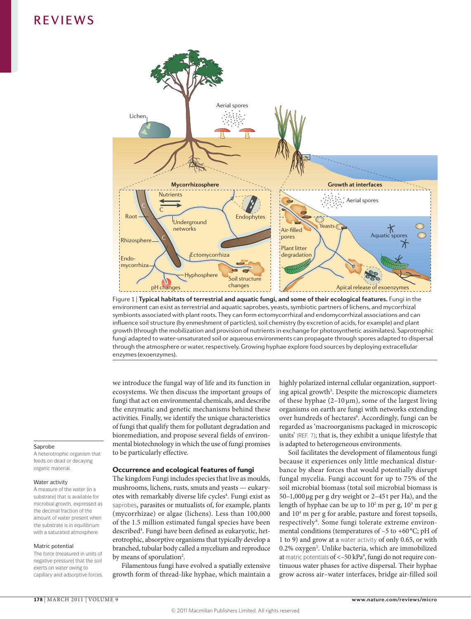

**Nature Reviews** | **Microbiology** environment can exist as terrestrial and aquatic saprobes, yeasts, symbiotic partners of lichens, and mycorrhizal Figure 1 | **Typical habitats of terrestrial and aquatic fungi, and some of their ecological features.** Fungi in the symbionts associated with plant roots. They can form ectomycorrhizal and endomycorrhizal associations and can influence soil structure (by enmeshment of particles), soil chemistry (by excretion of acids, for example) and plant growth (through the mobilization and provision of nutrients in exchange for photosynthetic assimilates). Saprotrophic fungi adapted to water-unsaturated soil or aqueous environments can propagate through spores adapted to dispersal through the atmosphere or water, respectively. Growing hyphae explore food sources by deploying extracellular enzymes (exoenzymes).

we introduce the fungal way of life and its function in ecosystems. we then discuss the important groups of fungi that act on environmental chemicals, and describe the enzymatic and genetic mechanisms behind these activities. Finally, we identify the unique characteristics of fungi that qualify them for pollutant degradation and bioremediation, and propose several fields of environmental biotechnology in which the use of fungi promises to be particularly effective.

#### occurrence and ecological features of fungi

The kingdom Fungi includes species that live as moulds, mushrooms, lichens, rusts, smuts and yeasts — eukaryotes with remarkably diverse life cycles<sup>4</sup>. Fungi exist as saprobes, parasites or mutualists of, for example, plants (mycorrhizae) or algae (lichens). less than 100,000 of the 1.5 million estimated fungal species have been described4 . Fungi have been defined as eukaryotic, heterotrophic, absorptive organisms that typically develop a branched, tubular body called a mycelium and reproduce by means of sporulation<sup>2</sup>.

Filamentous fungi have evolved a spatially extensive growth form of thread-like hyphae, which maintain a

highly polarized internal cellular organization, supporting apical growth<sup>5</sup>. Despite the microscopic diameters of these hyphae (2–10 μm), some of the largest living organisms on earth are fungi with networks extending over hundreds of hectares<sup>6</sup>. Accordingly, fungi can be regarded as 'macroorganisms packaged in microscopic units' (ReF. 7); that is, they exhibit a unique lifestyle that is adapted to heterogeneous environments.

Soil facilitates the development of filamentous fungi because it experiences only little mechanical disturbance by shear forces that would potentially disrupt fungal mycelia. Fungi account for up to 75% of the soil microbial biomass (total soil microbial biomass is 50–1,000μg per g dry weight or 2–45t per ha), and the length of hyphae can be up to  $10<sup>2</sup>$  m per g,  $10<sup>3</sup>$  m per g and 104 m per g for arable, pasture and forest topsoils, respectively<sup>8</sup>. Some fungi tolerate extreme environmental conditions (temperatures of -5 to +60°C; pH of 1 to 9) and grow at a water activity of only 0.65, or with 0.2% oxygen<sup>2</sup>. Unlike bacteria, which are immobilized at matric potentials of <-50 kPa<sup>9</sup>, fungi do not require continuous water phases for active dispersal. Their hyphae grow across air–water interfaces, bridge air-filled soil

#### Saprobe

A heterotrophic organism that feeds on dead or decaying organic material.

#### Water activity

A measure of the water (in a substrate) that is available for microbial growth, expressed as the decimal fraction of the amount of water present when the substrate is in equilibrium with a saturated atmosphere.

#### Matric potential

The force (measured in units of negative pressure) that the soil exerts on water owing to capillary and adsorptive forces.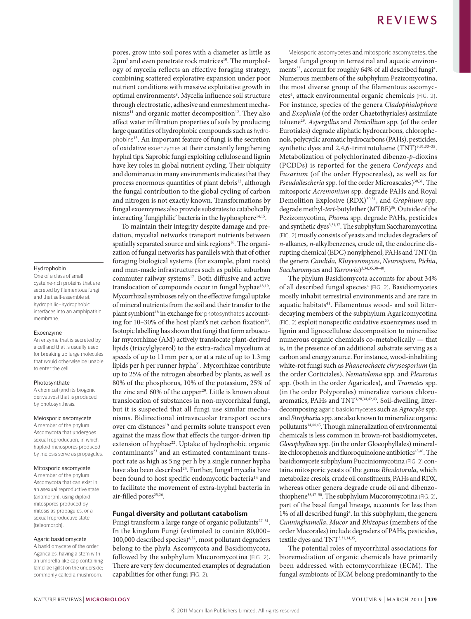pores, grow into soil pores with a diameter as little as  $2\,\upmu\text{m}^7$  and even penetrate rock matrices $^{\text{10}}$ . The morphology of mycelia reflects an effective foraging strategy, combining scattered explorative expansion under poor nutrient conditions with massive exploitative growth in optimal environments<sup>8</sup>. Mycelia influence soil structure through electrostatic, adhesive and enmeshment mecha $n$ isms<sup>11</sup> and organic matter decomposition<sup>12</sup>. They also affect water infiltration properties of soils by producing large quantities of hydrophobic compounds such as hydrophobins<sup>13</sup>. An important feature of fungi is the secretion of oxidative exoenzymes at their constantly lengthening hyphal tips. Saprobic fungi exploiting cellulose and lignin have key roles in global nutrient cycling. Their ubiquity and dominance in many environments indicates that they process enormous quantities of plant debris<sup>12</sup>, although the fungal contribution to the global cycling of carbon and nitrogen is not exactly known. Transformations by fungal exoenzymes also provide substrates to catabolically interacting 'fungiphilic' bacteria in the hyphosphere<sup>14,15</sup>.

Hydrophobin

One of a class of small, cysteine-rich proteins that are secreted by filamentous fungi and that self-assemble at hydrophilic–hydrophobic interfaces into an amphipathic membrane.

#### Exoenzyme

An enzyme that is secreted by a cell and that is usually used for breaking up large molecules that would otherwise be unable to enter the cell.

#### Photosynthate

A chemical (and its biogenic derivatives) that is produced by photosynthesis.

#### Meiosporic ascomycete

A member of the phylum Ascomycota that undergoes sexual reproduction, in which haploid meiospores produced by meiosis serve as propagules.

#### Mitosporic ascomycete

A member of the phylum Ascomycota that can exist in an asexual reproductive state (anamorph), using diploid mitospores produced by mitosis as propagules, or a sexual reproductive state (teleomorph).

#### Agaric basidiomycete

A basidiomycete of the order Agaricales, having a stem with an umbrella-like cap containing lamellae (gills) on the underside; commonly called a mushroom.

To maintain their integrity despite damage and predation, mycelial networks transport nutrients between spatially separated source and sink regions<sup>16</sup>. The organization of fungal networks has parallels with that of other foraging biological systems (for example, plant roots) and man-made infrastructures such as public suburban commuter railway systems<sup>17</sup>. Both diffusive and active translocation of compounds occur in fungal hyphae<sup>18,19</sup>. mycorrhizal symbioses rely on the effective fungal uptake of mineral nutrients from the soil and their transfer to the plant symbiont<sup>18</sup> in exchange for photosynthates accounting for 10-30% of the host plant's net carbon fixation<sup>20</sup>. Isotopic labelling has shown that fungi that form arbuscular mycorrhizae (Am) actively translocate plant-derived lipids (triacylglycerol) to the extra-radical mycelium at speeds of up to 11mm per s, or at a rate of up to 1.3mg lipids per h per runner hypha<sup>21</sup>. Mycorrhizae contribute up to 25% of the nitrogen absorbed by plants, as well as 80% of the phosphorus, 10% of the potassium, 25% of the zinc and 60% of the copper<sup>20</sup>. Little is known about translocation of substances in non-mycorrhizal fungi, but it is suspected that all fungi use similar mechanisms. Bidirectional intravacuolar transport occurs over cm distances<sup>19</sup> and permits solute transport even against the mass flow that effects the turgor-driven tip extension of hyphae<sup>22</sup>. Uptake of hydrophobic organic contaminants<sup>23</sup> and an estimated contaminant transport rate as high as 5ng per h by a single runner hypha have also been described<sup>24</sup>. Further, fungal mycelia have been found to host specific endomycotic bacteria<sup>14</sup> and to facilitate the movement of extra-hyphal bacteria in air-filled pores<sup>25,26</sup>.

#### Fungal diversity and pollutant catabolism

Fungi transform a large range of organic pollutants<sup>27-31</sup>. In the kingdom Fungi (estimated to contain 80,000– 100,000 described species)<sup>4,32</sup>, most pollutant degraders belong to the phyla Ascomycota and Basidiomycota, followed by the subphylum Mucoromycotina (FIG. 2). There are very few documented examples of degradation capabilities for other fungi (FIG. 2).

Meiosporic ascomycetes and mitosporic ascomycetes, the largest fungal group in terrestrial and aquatic environments<sup>33</sup>, account for roughly 64% of all described fungi<sup>4</sup>. Numerous members of the subphylum Pezizomycotina, the most diverse group of the filamentous ascomycetes4 , attack environmental organic chemicals (FIG. 2). For instance, species of the genera *Cladophialophora* and *Exophiala* (of the order Chaetothyriales) assimilate toluene29. *Aspergillus* and *Penicillium* spp. (of the order Eurotiales) degrade aliphatic hydrocarbons, chlorophenols, polycyclic aromatic hydrocarbons (PAhs), pesticides, synthetic dyes and 2,4,6-trinitrotoluene (TNT)<sup>3,31,33-35</sup>. metabolization of polychlorinated dibenzo-*p*-dioxins (PCDDs) is reported for the genera *Cordyceps* and Fusarium (of the order Hypocreales), as well as for *Pseudallescheria* spp. (of the order Microascales)<sup>30,31</sup>. The mitosporic *Acremonium* spp. degrade PAhs and Royal Demolition Explosive (RDX)<sup>30,31</sup>, and *Graphium* spp. degrade methyl-tert-butylether (MTBE)<sup>36</sup>. Outside of the Pezizomycotina, *Phoma* spp. degrade PAhs, pesticides and synthetic dyes<sup>3,31,37</sup>. The subphylum Saccharomycotina (FIG. 2) mostly consists of yeasts and includes degraders of *n*-alkanes, *n*-alkylbenzenes, crude oil, the endocrine disrupting chemical (EDC) nonylphenol, PAHs and TNT (in the genera *Candida*, *Kluyveromyces*, *Neurospora*, *Pichia*, *Saccharomyces* and *Yarrowia*) 3,34,35,38–40.

The phylum Basidiomycota accounts for about 34% of all described fungal species<sup>4</sup> (FIG. 2). Basidiomycetes mostly inhabit terrestrial environments and are rare in aquatic habitats<sup>41</sup>. Filamentous wood- and soil litterdecaying members of the subphylum Agaricomycotina (FIG. 2) exploit nonspecific oxidative exoenzymes used in lignin and lignocellulose decomposition to mineralize numerous organic chemicals co-metabolically — that is, in the presence of an additional substrate serving as a carbon and energy source. For instance, wood-inhabiting white-rot fungi such as *Phanerochaete chrysosporium* (in the order Corticiales), *Nematoloma* spp. and *Pleurotus* spp. (both in the order Agaricales), and *Trametes* spp. (in the order Polyporales) mineralize various chloroaromatics, PAHs and TNT<sup>3,28,34,42,43</sup>. Soil-dwelling, litterdecomposing agaric basidiomycetes such as *Agrocybe* spp. and *Stropharia* spp. are also known to mineralize organic pollutants34,44,45. Though mineralization of environmental chemicals is less common in brown-rot basidiomycetes, *Gloeophyllum* spp. (in the order Gloeophyllales) mineralize chlorophenols and fluoroquinolone antibiotics<sup>43,46</sup>. The basidiomycete subphylum Pucciniomycotina (FIG. 2) contains mitosporic yeasts of the genus *Rhodotorula*, which metabolize cresols, crude oil constituents, PAhs and RDX, whereas other genera degrade crude oil and dibenzothiophene<sup>35,47-50</sup>. The subphylum Mucoromycotina (FIG. 2), part of the basal fungal lineage, accounts for less than 1% of all described fungi<sup>4</sup>. In this subphylum, the genera *Cunninghamella*, *Mucor* and *Rhizopus* (members of the order mucorales) include degraders of PAhs, pesticides, textile dyes and TNT<sup>3,31,34,35</sup>.

The potential roles of mycorrhizal associations for bioremediation of organic chemicals have primarily been addressed with ectomycorrhizae (ECm). The fungal symbionts of ECM belong predominantly to the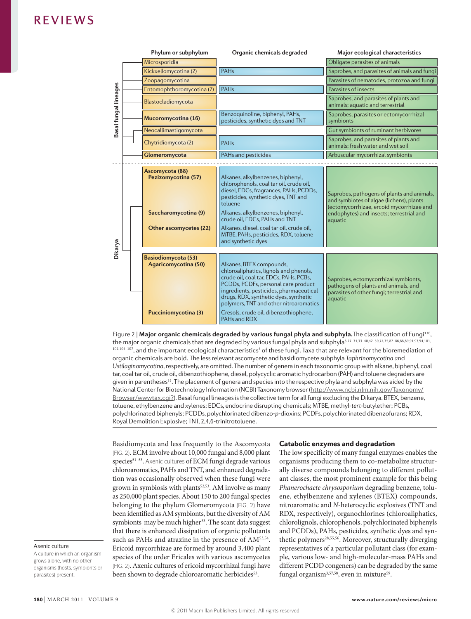

Nature Equipse **Crystine entimedia degraded by various fungal phyla and subphyla<sup>3,27–31,33–40,42–59,74,75,82–86,88,89,91,93,94,101,<br>the major organic chemicals that are degraded by various fungal phyla and subphyla<sup>3,27–3**</sup></sup> Figure 2 | Major organic chemicals degraded by various fungal phyla and subphyla.The classification of Fungi<sup>136</sup>,  $102,105-107$ , and the important ecological characteristics<sup>4</sup> of these fungi. Taxa that are relevant for the bioremediation of organic chemicals are bold. The less relevant ascomycete and basidiomycete subphyla *Taphrinomycotina a*nd *Ustilaginomycotina*, respectively, are omitted. The number of genera in each taxonomic group with alkane, biphenyl, coal tar, coal tar oil, crude oil, dibenzothiophene, diesel, polycyclic aromatic hydrocarbon (PAH) and toluene degraders are given in parentheses<sup>35</sup>. The placement of genera and species into the respective phyla and subphyla was aided by the National Center for Biotechnology Information (NCBI) Taxonomy browser (http://www.ncbi.nlm.nih.gov/Taxonomy/ Browser/wwwtax.cgi?). Basal fungal lineages is the collective term for all fungi excluding the Dikarya. BTEX, benzene, toluene, ethylbenzene and xylenes; EDCs, endocrine disrupting chemicals; MTBE, methyl-*tert*-butylether; PCBs, polychlorinated biphenyls; PCDDs, polychlorinated dibenzo-*p*-dioxins; PCDFs, polychlorinated dibenzofurans; RDX, Royal Demolition Explosive; TNT, 2,4,6-trinitrotoluene.

Basidiomycota and less frequently to the Ascomycota (FIG. 2). ECm involve about 10,000 fungal and 8,000 plant species<sup>51-53</sup>. Axenic cultures of ECM fungi degrade various chloroaromatics, PAHs and TNT, and enhanced degradation was occasionally observed when these fungi were grown in symbiosis with plants<sup>52,53</sup>. AM involve as many as 250,000 plant species. About 150 to 200 fungal species belonging to the phylum Glomeromycota (FIG. 2) have been identified as Am symbionts, but the diversity of Am symbionts may be much higher<sup>53</sup>. The scant data suggest that there is enhanced dissipation of organic pollutants such as PAHs and atrazine in the presence of AM<sup>53,54</sup>. Ericoid mycorrhizae are formed by around 3,400 plant species of the order Ericales with various ascomycetes (FIG. 2). Axenic cultures of ericoid mycorrhizal fungi have been shown to degrade chloroaromatic herbicides<sup>53</sup>.

#### catabolic enzymes and degradation

The low specificity of many fungal enzymes enables the organisms producing them to co-metabolize structurally diverse compounds belonging to different pollutant classes, the most prominent example for this being *Phanerochaete chrysosporium* degrading benzene, toluene, ethylbenzene and xylenes (BTEX) compounds, nitroaromatic and *N*-heterocyclic explosives (TnT and RDX, respectively), organochlorines (chloroaliphatics, chlorolignols, chlorophenols, polychlorinated biphenyls and PCDDs), PAHs, pesticides, synthetic dyes and synthetic polymers<sup>28,55,56</sup>. Moreover, structurally diverging representatives of a particular pollutant class (for example, various low- and high-molecular-mass PAhs and different PCDD congeners) can be degraded by the same fungal organism<sup>3,57,58</sup>, even in mixture<sup>59</sup>.

#### Axenic culture

A culture in which an organism grows alone, with no other organisms (hosts, symbionts or parasites) present.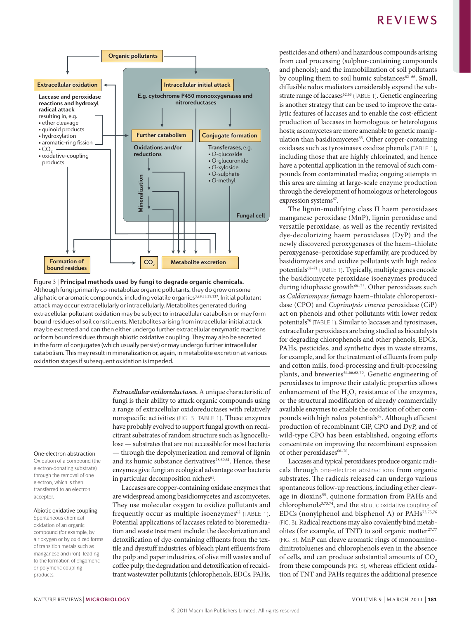

**Nature Reviews** | **Microbiology** Although fungi primarily co-metabolize organic pollutants, they do grow on some Figure 3 | **Principal methods used by fungi to degrade organic chemicals.**  aliphatic or aromatic compounds, including volatile organics<sup>3,29,38,39,137</sup>. Initial pollutant attack may occur extracellularly or intracellularly. Metabolites generated during extracellular pollutant oxidation may be subject to intracellular catabolism or may form bound residues of soil constituents. Metabolites arising from intracellular initial attack may be excreted and can then either undergo further extracellular enzymatic reactions or form bound residues through abiotic oxidative coupling. They may also be secreted in the form of conjugates (which usually persist) or may undergo further intracellular catabolism. This may result in mineralization or, again, in metabolite excretion at various oxidation stages if subsequent oxidation is impeded.

#### One-electron abstraction

Oxidation of a compound (the electron-donating substrate) through the removal of one electron, which is then transferred to an electron acceptor.

#### Abiotic oxidative coupling

Spontaneous chemical oxidation of an organic compound (for example, by air oxygen or by oxidized forms of transition metals such as manganese and iron), leading to the formation of oligomeric or polymeric coupling products.

*Extracellular oxidoreductases.* A unique characteristic of fungi is their ability to attack organic compounds using a range of extracellular oxidoreductases with relatively nonspecific activities (FIG. 3; TABLe 1). These enzymes have probably evolved to support fungal growth on recalcitrant substrates of random structure such as lignocellulose — substrates that are not accessible for most bacteria — through the depolymerization and removal of lignin and its humic substance derivatives<sup>28,60,61</sup>. Hence, these enzymes give fungi an ecological advantage over bacteria in particular decomposition niches<sup>61</sup>.

laccases are copper-containing oxidase enzymes that are widespread among basidiomycetes and ascomycetes. They use molecular oxygen to oxidize pollutants and frequently occur as multiple isoenzymes $^{62}$  (TABLE 1). Potential applications of laccases related to bioremediation and waste treatment include: the decolorization and detoxification of dye-containing effluents from the textile and dyestuff industries, of bleach plant effluents from the pulp and paper industries, of olive mill wastes and of coffee pulp; the degradation and detoxification of recalcitrant wastewater pollutants (chlorophenols, EDCs, PAHs,

pesticides and others) and hazardous compounds arising from coal processing (sulphur-containing compounds and phenols); and the immobilization of soil pollutants by coupling them to soil humic substances $62-66$ . Small, diffusible redox mediators considerably expand the substrate range of laccases<sup>62,63</sup> (TABLE 1). Genetic engineering is another strategy that can be used to improve the catalytic features of laccases and to enable the cost-efficient production of laccases in homologous or heterologous hosts; ascomycetes are more amenable to genetic manipulation than basidiomycetes<sup>65</sup>. Other copper-containing oxidases such as tyrosinases oxidize phenols (TABLe 1), including those that are highly chlorinated, and hence have a potential application in the removal of such compounds from contaminated media; ongoing attempts in this area are aiming at large-scale enzyme production through the development of homologous or heterologous expression systems<sup>67</sup>.

The lignin-modifying class II haem peroxidases manganese peroxidase (mnP), lignin peroxidase and versatile peroxidase, as well as the recently revisited dye-decolorizing haem peroxidases (DyP) and the newly discovered peroxygenases of the haem–thiolate peroxygenase–peroxidase superfamily, are produced by basidiomycetes and oxidize pollutants with high redox potentials<sup>68-71</sup> (TABLE 1). Typically, multiple genes encode the basidiomycete peroxidase isoenzymes produced during idiophasic growth<sup>68-72</sup>. Other peroxidases such as *Caldariomyces fumago* haem–thiolate chloroperoxidase (CPo) and *Coprinopsis cinerea* peroxidase (CiP) act on phenols and other pollutants with lower redox potentials<sup>70</sup> (TABLE 1). Similar to laccases and tyrosinases, extracellular peroxidases are being studied as biocatalysts for degrading chlorophenols and other phenols, EDCs, PAHs, pesticides, and synthetic dyes in waste streams, for example, and for the treatment of effluents from pulp and cotton mills, food-processing and fruit-processing plants, and breweries<sup>64,66,68,70</sup>. Genetic engineering of peroxidases to improve their catalytic properties allows enhancement of the  $H_2O_2$  resistance of the enzymes, or the structural modification of already commercially available enzymes to enable the oxidation of other compounds with high redox potentials<sup>68</sup>. Although efficient production of recombinant CiP, CPo and DyP, and of wild-type CPo has been established, ongoing efforts concentrate on improving the recombinant expression of other peroxidases<sup>68-70</sup>.

laccases and typical peroxidases produce organic radicals through one-electron abstractions from organic substrates. The radicals released can undergo various spontaneous follow-up reactions, including ether cleavage in dioxins<sup>55</sup>, quinone formation from PAHs and chlorophenols<sup>3,73,74</sup>, and the abiotic oxidative coupling of EDCs (nonylphenol and bisphenol A) or PAHs<sup>73,75,76</sup> (FIG. 3). Radical reactions may also covalently bind metabolites (for example, of TNT) to soil organic matter<sup>27,77</sup> (FIG. 3). mnP can cleave aromatic rings of monoaminodinitrotoluenes and chlorophenols even in the absence of cells, and can produce substantial amounts of CO<sub>2</sub> from these compounds (FIG. 3), whereas efficient oxidation of TNT and PAHs requires the additional presence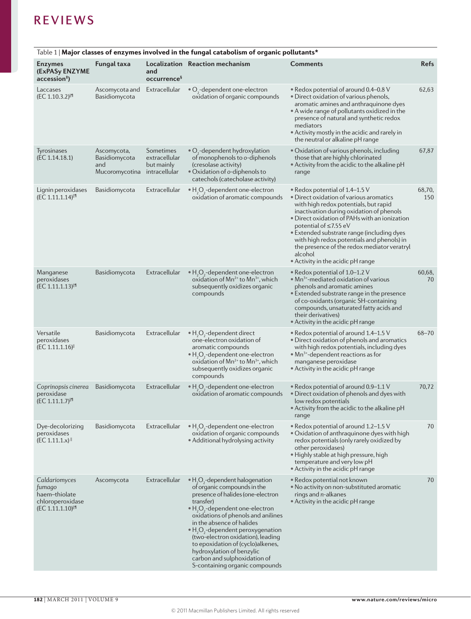| <code>Table</code> 1   Major classes of enzymes involved in the fungal catabolism of organic pollutants* $\,$ |                                                       |                                                           |                                                                                                                                                                                                                                                                                                                                                                                                                                                             |                                                                                                                                                                                                                                                                                                                                                                                                                                           |               |  |  |  |  |  |
|---------------------------------------------------------------------------------------------------------------|-------------------------------------------------------|-----------------------------------------------------------|-------------------------------------------------------------------------------------------------------------------------------------------------------------------------------------------------------------------------------------------------------------------------------------------------------------------------------------------------------------------------------------------------------------------------------------------------------------|-------------------------------------------------------------------------------------------------------------------------------------------------------------------------------------------------------------------------------------------------------------------------------------------------------------------------------------------------------------------------------------------------------------------------------------------|---------------|--|--|--|--|--|
| <b>Enzymes</b><br>(ExPASy ENZYME<br>accession <sup>‡</sup> )                                                  | <b>Fungal taxa</b>                                    | and<br>occurrence <sup>§</sup>                            | Localization Reaction mechanism                                                                                                                                                                                                                                                                                                                                                                                                                             | <b>Comments</b>                                                                                                                                                                                                                                                                                                                                                                                                                           | <b>Refs</b>   |  |  |  |  |  |
| Laccases<br>$(EC 1.10.3.2)^{  \mathbf{f}  }$                                                                  | Ascomycota and<br>Basidiomycota                       | Extracellular                                             | $\bullet$ O <sub>2</sub> -dependent one-electron<br>oxidation of organic compounds                                                                                                                                                                                                                                                                                                                                                                          | • Redox potential of around 0.4-0.8 V<br>• Direct oxidation of various phenols,<br>aromatic amines and anthraquinone dyes<br>• A wide range of pollutants oxidized in the<br>presence of natural and synthetic redox<br>mediators<br>• Activity mostly in the acidic and rarely in<br>the neutral or alkaline pH range                                                                                                                    | 62,63         |  |  |  |  |  |
| Tyrosinases<br>(EC 1.14.18.1)                                                                                 | Ascomycota,<br>Basidiomycota<br>and<br>Mucoromycotina | Sometimes<br>extracellular<br>but mainly<br>intracellular | • O -dependent hydroxylation<br>of monophenols to o-diphenols<br>(cresolase activity)<br>• Oxidation of o-diphenols to<br>catechols (catecholase activity)                                                                                                                                                                                                                                                                                                  | • Oxidation of various phenols, including<br>those that are highly chlorinated<br>• Activity from the acidic to the alkaline pH<br>range                                                                                                                                                                                                                                                                                                  | 67,87         |  |  |  |  |  |
| Lignin peroxidases<br>(EC 1.11.1.14) <sup>  1</sup>                                                           | Basidiomycota                                         | Extracellular                                             | $\bullet$ H <sub>2</sub> O <sub>2</sub> -dependent one-electron<br>oxidation of aromatic compounds                                                                                                                                                                                                                                                                                                                                                          | • Redox potential of 1.4-1.5 V<br>• Direct oxidation of various aromatics<br>with high redox potentials, but rapid<br>inactivation during oxidation of phenols<br>• Direct oxidation of PAHs with an ionization<br>potential of $\leq$ 7.55 eV<br>• Extended substrate range (including dyes<br>with high redox potentials and phenols) in<br>the presence of the redox mediator veratryl<br>alcohol<br>• Activity in the acidic pH range | 68,70,<br>150 |  |  |  |  |  |
| Manganese<br>peroxidases<br>(EC 1.11.1.13) <sup>  1</sup>                                                     | Basidiomycota                                         | Extracellular                                             | • H <sub>2</sub> O <sub>2</sub> -dependent one-electron<br>oxidation of Mn <sup>2+</sup> to Mn <sup>3+</sup> , which<br>subsequently oxidizes organic<br>compounds                                                                                                                                                                                                                                                                                          | • Redox potential of 1.0-1.2 V<br>$\bullet$ Mn <sup>3+</sup> -mediated oxidation of various<br>phenols and aromatic amines<br>• Extended substrate range in the presence<br>of co-oxidants (organic SH-containing<br>compounds, unsaturated fatty acids and<br>their derivatives)<br>• Activity in the acidic pH range                                                                                                                    | 60,68,<br>70  |  |  |  |  |  |
| Versatile<br>peroxidases<br>(EC 1.11.1.16)                                                                    | Basidiomycota                                         | Extracellular                                             | $\bullet$ H <sub>2</sub> O <sub>2</sub> -dependent direct<br>one-electron oxidation of<br>aromatic compounds<br>$\bullet$ H <sub>2</sub> O <sub>2</sub> -dependent one-electron<br>oxidation of $Mn^{2+}$ to $Mn^{3+}$ , which<br>subsequently oxidizes organic<br>compounds                                                                                                                                                                                | • Redox potential of around 1.4-1.5 V<br>• Direct oxidation of phenols and aromatics<br>with high redox potentials, including dyes<br>$\bullet$ Mn <sup>3+</sup> -dependent reactions as for<br>manganese peroxidase<br>• Activity in the acidic pH range                                                                                                                                                                                 | $68 - 70$     |  |  |  |  |  |
| Coprinopsis cinerea<br>peroxidase<br>$(EC 1.11.1.7)^{  }$                                                     | Basidiomycota                                         | Extracellular                                             | $\bullet$ H <sub>2</sub> O <sub>2</sub> -dependent one-electron<br>oxidation of aromatic compounds                                                                                                                                                                                                                                                                                                                                                          | • Redox potential of around 0.9–1.1 V<br>• Direct oxidation of phenols and dyes with<br>low redox potentials<br>$\bullet$ Activity from the acidic to the alkaline pH<br>range                                                                                                                                                                                                                                                            | 70,72         |  |  |  |  |  |
| Dye-decolorizing<br>peroxidases<br>$(EC 1.11.1.x)^{  }$                                                       | Basidiomycota                                         | Extracellular                                             | $\bullet$ H <sub>2</sub> O <sub>2</sub> -dependent one-electron<br>oxidation of organic compounds<br>• Additional hydrolysing activity                                                                                                                                                                                                                                                                                                                      | • Redox potential of around 1.2-1.5 V<br>• Oxidation of anthraquinone dyes with high<br>redox potentials (only rarely oxidized by<br>other peroxidases)<br>• Highly stable at high pressure, high<br>temperature and very low pH<br>• Activity in the acidic pH range                                                                                                                                                                     | 70            |  |  |  |  |  |
| Caldariomyces<br>fumago<br>haem-thiolate<br>chloroperoxidase<br>$(EC 1.11.1.10)^{  }$                         | Ascomycota                                            | Extracellular                                             | $\bullet$ H <sub>2</sub> O <sub>2</sub> -dependent halogenation<br>of organic compounds in the<br>presence of halides (one-electron<br>transfer)<br>• H <sub>2</sub> O <sub>2</sub> -dependent one-electron<br>oxidations of phenols and anilines<br>in the absence of halides<br>$\bullet$ H <sub>2</sub> O <sub>2</sub> -dependent peroxygenation<br>(two-electron oxidation), leading<br>to epoxidation of (cyclo) alkenes,<br>hydroxylation of benzylic | • Redox potential not known<br>• No activity on non-substituted aromatic<br>rings and <i>n</i> -alkanes<br>• Activity in the acidic pH range                                                                                                                                                                                                                                                                                              | 70            |  |  |  |  |  |

carbon and sulphoxidation of S-containing organic compounds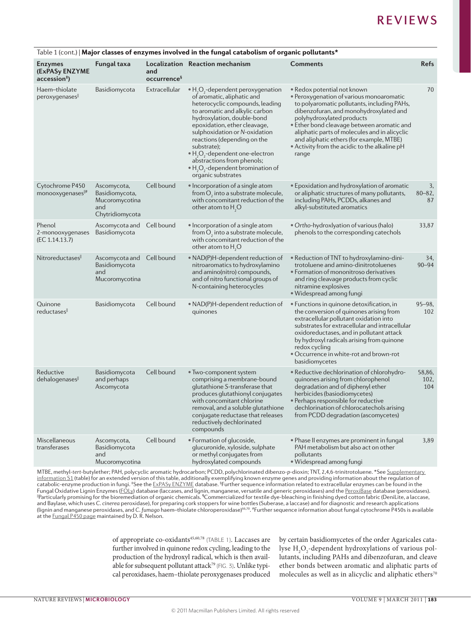#### Table 1 (cont.) | Major classes of enzymes involved in the fungal catabolism of organic pollutants\*

| <b>Enzymes</b><br>(ExPASy ENZYME<br>accession <sup>†</sup>       | <b>Fungal taxa</b>                                                        | and<br>occurrence <sup>§</sup> | Localization Reaction mechanism                                                                                                                                                                                                                                                                                                                                                                                                                                                                               | <b>Comments</b>                                                                                                                                                                                                                                                                                                                                                                                    | Refs                    |
|------------------------------------------------------------------|---------------------------------------------------------------------------|--------------------------------|---------------------------------------------------------------------------------------------------------------------------------------------------------------------------------------------------------------------------------------------------------------------------------------------------------------------------------------------------------------------------------------------------------------------------------------------------------------------------------------------------------------|----------------------------------------------------------------------------------------------------------------------------------------------------------------------------------------------------------------------------------------------------------------------------------------------------------------------------------------------------------------------------------------------------|-------------------------|
| Haem-thiolate<br>peroxygenases                                   | Basidiomycota                                                             | Extracellular                  | $\bullet$ H <sub>2</sub> O <sub>2</sub> -dependent peroxygenation<br>of aromatic, aliphatic and<br>heterocyclic compounds, leading<br>to aromatic and alkylic carbon<br>hydroxylation, double-bond<br>epoxidation, ether cleavage,<br>sulphoxidation or N-oxidation<br>reactions (depending on the<br>substrate);<br>$\bullet$ H <sub>2</sub> O <sub>2</sub> -dependent one-electron<br>abstractions from phenols;<br>$\bullet$ H <sub>2</sub> O <sub>2</sub> -dependent bromination of<br>organic substrates | • Redox potential not known<br>• Peroxygenation of various monoaromatic<br>to polyaromatic pollutants, including PAHs,<br>dibenzofuran, and monohydroxylated and<br>polyhydroxylated products<br>· Ether bond cleavage between aromatic and<br>aliphatic parts of molecules and in alicyclic<br>and aliphatic ethers (for example, MTBE)<br>• Activity from the acidic to the alkaline pH<br>range | 70                      |
| Cytochrome P450<br>$monooxy$ genases $\mathbb{R}^{\mathbb{N}^*}$ | Ascomycota,<br>Basidiomycota,<br>Mucoromycotina<br>and<br>Chytridiomycota | Cell bound                     | • Incorporation of a single atom<br>from $O_2$ into a substrate molecule,<br>with concomitant reduction of the<br>other atom to $H2O$                                                                                                                                                                                                                                                                                                                                                                         | • Epoxidation and hydroxylation of aromatic<br>or aliphatic structures of many pollutants,<br>including PAHs, PCDDs, alkanes and<br>alkyl-substituted aromatics                                                                                                                                                                                                                                    | 3,<br>$80 - 82$ ,<br>87 |
| Phenol<br>2-monooxygenases<br>(EC 1.14.13.7)                     | Ascomycota and<br>Basidiomycota                                           | Cell bound                     | • Incorporation of a single atom<br>from O <sub>2</sub> into a substrate molecule,<br>with concomitant reduction of the<br>other atom to $H2O$                                                                                                                                                                                                                                                                                                                                                                | • Ortho-hydroxlyation of various (halo)<br>phenols to the corresponding catechols                                                                                                                                                                                                                                                                                                                  | 33,87                   |
| Nitroreductases <sup>  </sup>                                    | Ascomycota and<br>Basidiomycota<br>and<br>Mucoromycotina                  | Cell bound                     | • NAD(P)H-dependent reduction of<br>nitroaromatics to hydroxylamino<br>and amino(nitro) compounds,<br>and of nitro functional groups of<br>N-containing heterocycles                                                                                                                                                                                                                                                                                                                                          | • Reduction of TNT to hydroxylamino-dini-<br>trotoluene and amino-dinitrotoluenes<br>• Formation of mononitroso derivatives<br>and ring cleavage products from cyclic<br>nitramine explosives<br>• Widespread among fungi                                                                                                                                                                          | 34,<br>$90 - 94$        |
| Quinone<br>reductases                                            | Basidiomycota                                                             | Cell bound                     | • NAD(P)H-dependent reduction of<br>quinones                                                                                                                                                                                                                                                                                                                                                                                                                                                                  | • Functions in quinone detoxification, in<br>the conversion of quinones arising from<br>extracellular pollutant oxidation into<br>substrates for extracellular and intracellular<br>oxidoreductases, and in pollutant attack<br>by hydroxyl radicals arising from quinone<br>redox cycling<br>• Occurrence in white-rot and brown-rot<br>basidiomycetes                                            | $95 - 98$ ,<br>102      |
| Reductive<br>dehalogenases                                       | Basidiomycota<br>and perhaps<br>Ascomycota                                | Cell bound                     | · Two-component system<br>comprising a membrane-bound<br>glutathione S-transferase that<br>produces glutathionyl conjugates<br>with concomitant chlorine<br>removal, and a soluble glutathione<br>conjugate reductase that releases<br>reductively dechlorinated<br>compounds                                                                                                                                                                                                                                 | • Reductive dechlorination of chlorohydro-<br>quinones arising from chlorophenol<br>degradation and of diphenyl ether<br>herbicides (basiodiomycetes)<br>• Perhaps responsible for reductive<br>dechlorination of chlorocatechols arising<br>from PCDD degradation (ascomycetes)                                                                                                                   | 58,86,<br>102,<br>104   |
| Miscellaneous<br>transferases                                    | Ascomycota,<br>Basidiomycota<br>and<br>Mucoromycotina                     | Cell bound                     | · Formation of glucoside,<br>glucuronide, xyloside, sulphate<br>or methyl conjugates from<br>hydroxylated compounds                                                                                                                                                                                                                                                                                                                                                                                           | • Phase II enzymes are prominent in fungal<br>PAH metabolism but also act on other<br>pollutants<br>· Widespread among fungi                                                                                                                                                                                                                                                                       | 3,89                    |

MTBE, methyl-*tert*-butylether; PAH, polycyclic aromatic hydrocarbon; PCDD, polychlorinated dibenzo-*p*-dioxin; TNT, 2,4,6-trinitrotoluene. \*See Supplementary information S1 (table) for an extended version of this table, additionally exemplifying known enzyme genes and providing information about the regulation of catabolic-enzyme production in fungi. <sup>‡</sup>See the <u>ExPASy ENZYME</u> database. <sup>§</sup>Further sequence information related to extracellular enzymes can be found in the Fungal Oxidative Lignin Enzymes (<u>FOLy</u>) database (laccases, and lignin, manganese, versatile and generic peroxidases) and the <u>PeroxiBase</u> database (peroxidases).<br><sup>I|</sup>Particularly promising for the bioremediation of organ and Baylase, which uses *C. cinerea* peroxidase), for preparing cork stoppers for wine bottles (Suberase, a laccase) and for diagnostic and research applications (lignin and manganese peroxidases, and *C. fumago* haem–thiolate chloroperoxidase)66,70. # Further sequence information about fungal cytochrome P450s is available at the Fungal P450 page maintained by D. R. Nelson.

> of appropriate co-oxidants<sup>45,60,78</sup> (TABLE 1). Laccases are further involved in quinone redox cycling, leading to the production of the hydroxyl radical, which is then available for subsequent pollutant attack<sup>79</sup> (FIG. 3). Unlike typical peroxidases, haem–thiolate peroxygenases produced

by certain basidiomycetes of the order Agaricales catalyse  $\mathrm{H}_{2}\mathrm{O}_{2}$ -dependent hydroxylations of various pollutants, including PAhs and dibenzofuran, and cleave ether bonds between aromatic and aliphatic parts of molecules as well as in alicyclic and aliphatic ethers<sup>70</sup>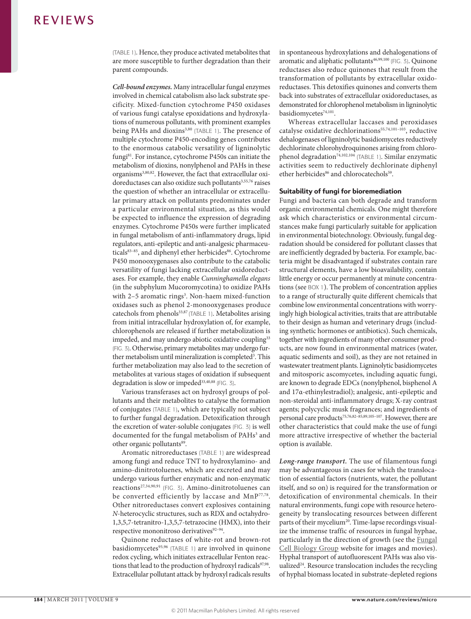(TABLe 1). hence, they produce activated metabolites that are more susceptible to further degradation than their parent compounds.

*Cell-bound enzymes.* many intracellular fungal enzymes involved in chemical catabolism also lack substrate specificity. mixed-function cytochrome P450 oxidases of various fungi catalyse epoxidations and hydroxylations of numerous pollutants, with prominent examples being PAHs and dioxins<sup>3,80</sup> (TABLE 1). The presence of multiple cytochrome P450-encoding genes contributes to the enormous catabolic versatility of ligninolytic fungi<sup>81</sup>. For instance, cytochrome P450s can initiate the metabolism of dioxins, nonylphenol and PAhs in these organisms<sup>3,80,82</sup>. However, the fact that extracellular oxidoreductases can also oxidize such pollutants<sup>3,55,76</sup> raises the question of whether an intracellular or extracellular primary attack on pollutants predominates under a particular environmental situation, as this would be expected to influence the expression of degrading enzymes. Cytochrome P450s were further implicated in fungal metabolism of anti-inflammatory drugs, lipid regulators, anti-epileptic and anti-analgesic pharmaceuticals<sup>83-85</sup>, and diphenyl ether herbicides<sup>86</sup>. Cytochrome P450 monooxygenases also contribute to the catabolic versatility of fungi lacking extracellular oxidoreductases. For example, they enable *Cunninghamella elegans* (in the subphylum Mucoromycotina) to oxidize PAHs with 2–5 aromatic rings<sup>3</sup>. Non-haem mixed-function oxidases such as phenol 2-monooxygenases produce catechols from phenols<sup>33,87</sup> (TABLE 1). Metabolites arising from initial intracellular hydroxylation of, for example, chlorophenols are released if further metabolization is impeded, and may undergo abiotic oxidative coupling<sup>33</sup> (FIG. 3). Otherwise, primary metabolites may undergo further metabolism until mineralization is completed<sup>3</sup>. This further metabolization may also lead to the secretion of metabolites at various stages of oxidation if subsequent degradation is slow or impeded<sup>33,40,88</sup> (FIG. 3).

various transferases act on hydroxyl groups of pollutants and their metabolites to catalyse the formation of conjugates (TABLe 1), which are typically not subject to further fungal degradation. Detoxification through the excretion of water-soluble conjugates (FIG. 3) is well documented for the fungal metabolism of PAHs<sup>3</sup> and other organic pollutants<sup>89</sup>.

Aromatic nitroreductases (TABLe 1) are widespread among fungi and reduce TNT to hydroxylamino- and amino-dinitrotoluenes, which are excreted and may undergo various further enzymatic and non-enzymatic reactions27,34,90,91 (FIG. 3). Amino-dinitrotoluenes can be converted efficiently by laccase and MnP77,78. other nitroreductases convert explosives containing *N*-heterocyclic structures, such as RDX and octahydro-1,3,5,7-tetranitro-1,3,5,7-tetrazocine (hmX), into their respective mononitroso derivatives<sup>92-94</sup>.

Quinone reductases of white-rot and brown-rot basidiomycetes<sup>95,96</sup> (TABLE 1) are involved in quinone redox cycling, which initiates extracellular Fenton reactions that lead to the production of hydroxyl radicals<sup>97,98</sup>. Extracellular pollutant attack by hydroxyl radicals results in spontaneous hydroxylations and dehalogenations of aromatic and aliphatic pollutants<sup>46,99,100</sup> (FIG. 3). Quinone reductases also reduce quinones that result from the transformation of pollutants by extracellular oxidoreductases. This detoxifies quinones and converts them back into substrates of extracellular oxidoreductases, as demonstrated for chlorophenol metabolism in ligninolytic basidiomycetes<sup>74,101</sup>.

whereas extracellular laccases and peroxidases catalyse oxidative dechlorinations<sup>55,74,101-103</sup>, reductive dehalogenases of ligninolytic basidiomycetes reductively dechlorinate chlorohydroquinones arising from chlorophenol degradation<sup>74,102,104</sup> (TABLE 1). Similar enzymatic activities seem to reductively dechlorinate diphenyl ether herbicides<sup>86</sup> and chlorocatechols<sup>59</sup>.

#### suitability of fungi for bioremediation

Fungi and bacteria can both degrade and transform organic environmental chemicals. one might therefore ask which characteristics or environmental circumstances make fungi particularly suitable for application in environmental biotechnology. Obviously, fungal degradation should be considered for pollutant classes that are inefficiently degraded by bacteria. For example, bacteria might be disadvantaged if substrates contain rare structural elements, have a low bioavailability, contain little energy or occur permanently at minute concentrations (see BOX 1). The problem of concentration applies to a range of structurally quite different chemicals that combine low environmental concentrations with worryingly high biological activities, traits that are attributable to their design as human and veterinary drugs (including synthetic hormones or antibiotics). Such chemicals, together with ingredients of many other consumer products, are now found in environmental matrices (water, aquatic sediments and soil), as they are not retained in wastewater treatment plants. ligninolytic basidiomycetes and mitosporic ascomycetes, including aquatic fungi, are known to degrade EDCs (nonylphenol, bisphenol A and 17α-ethinylestradiol); analgesic, anti-epileptic and non-steroidal anti-inflammatory drugs; X-ray contrast agents; polycyclic musk fragrances; and ingredients of personal care products<sup>75,76,82–85,89,105–107</sup>. However, there are other characteristics that could make the use of fungi more attractive irrespective of whether the bacterial option is available.

*Long-range transport.* The use of filamentous fungi may be advantageous in cases for which the translocation of essential factors (nutrients, water, the pollutant itself, and so on) is required for the transformation or detoxification of environmental chemicals. In their natural environments, fungi cope with resource heterogeneity by translocating resources between different parts of their mycelium<sup>20</sup>. Time-lapse recordings visualize the immense traffic of resources in fungal hyphae, particularly in the direction of growth (see the Fungal Cell Biology Group website for images and movies). Hyphal transport of autofluorescent PAHs was also visualized<sup>24</sup>. Resource translocation includes the recycling of hyphal biomass located in substrate-depleted regions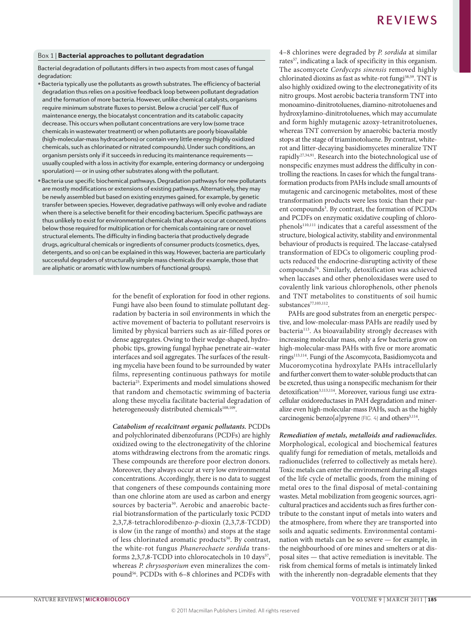#### Box 1 | Bacterial approaches to pollutant degradation

Bacterial degradation of pollutants differs in two aspects from most cases of fungal degradation:

- •Bacteria typically use the pollutants as growth substrates. The efficiency of bacterial degradation thus relies on a positive feedback loop between pollutant degradation and the formation of more bacteria. However, unlike chemical catalysts, organisms require minimum substrate fluxes to persist. Below a crucial 'per cell' flux of maintenance energy, the biocatalyst concentration and its catabolic capacity decrease. This occurs when pollutant concentrations are very low (some trace chemicals in wastewater treatment) or when pollutants are poorly bioavailable (high-molecular-mass hydrocarbons) or contain very little energy (highly oxidized chemicals, such as chlorinated or nitrated compounds). Under such conditions, an organism persists only if it succeeds in reducing its maintenance requirements usually coupled with a loss in activity (for example, entering dormancy or undergoing sporulation) — or in using other substrates along with the pollutant.
- •Bacteria use specific biochemical pathways. Degradation pathways for new pollutants are mostly modifications or extensions of existing pathways. Alternatively, they may be newly assembled but based on existing enzymes gained, for example, by genetic transfer between species. However, degradative pathways will only evolve and radiate when there is a selective benefit for their encoding bacterium. Specific pathways are thus unlikely to exist for environmental chemicals that always occur at concentrations below those required for multiplication or for chemicals containing rare or novel structural elements. The difficulty in finding bacteria that productively degrade drugs, agricultural chemicals or ingredients of consumer products (cosmetics, dyes, detergents, and so on) can be explained in this way. However, bacteria are particularly successful degraders of structurally simple mass chemicals (for example, those that are aliphatic or aromatic with low numbers of functional groups).

for the benefit of exploration for food in other regions. Fungi have also been found to stimulate pollutant degradation by bacteria in soil environments in which the active movement of bacteria to pollutant reservoirs is limited by physical barriers such as air-filled pores or dense aggregates. Owing to their wedge-shaped, hydrophobic tips, growing fungal hyphae penetrate air–water interfaces and soil aggregates. The surfaces of the resulting mycelia have been found to be surrounded by water films, representing continuous pathways for motile bacteria25. Experiments and model simulations showed that random and chemotactic swimming of bacteria along these mycelia facilitate bacterial degradation of heterogeneously distributed chemicals<sup>108,109</sup>.

*Catabolism of recalcitrant organic pollutants.* PCDDs and polychlorinated dibenzofurans (PCDFs) are highly oxidized owing to the electronegativity of the chlorine atoms withdrawing electrons from the aromatic rings. These compounds are therefore poor electron donors. Moreover, they always occur at very low environmental concentrations. Accordingly, there is no data to suggest that congeners of these compounds containing more than one chlorine atom are used as carbon and energy sources by bacteria<sup>30</sup>. Aerobic and anaerobic bacterial biotransformation of the particularly toxic PCDD 2,3,7,8-tetrachlorodibenzo-*p*-dioxin (2,3,7,8-TCDD) is slow (in the range of months) and stops at the stage of less chlorinated aromatic products<sup>30</sup>. By contrast, the white-rot fungus *Phanerochaete sordida* transforms 2,3,7,8-TCDD into chlorocatechols in 10 days<sup>57</sup>, whereas *P. chrysosporium* even mineralizes the compound<sup>56</sup>. PCDDs with 6-8 chlorines and PCDFs with 4–8 chlorines were degraded by *P. sordida* at similar rates<sup>57</sup>, indicating a lack of specificity in this organism. The ascomycete *Cordyceps sinensis* removed highly chlorinated dioxins as fast as white-rot fungi<sup>58,59</sup>. TNT is also highly oxidized owing to the electronegativity of its nitro groups. Most aerobic bacteria transform TNT into monoamino-dinitrotoluenes, diamino-nitrotoluenes and hydroxylamino-dinitrotoluenes, which may accumulate and form highly mutagenic azoxy-tetranitrotoluenes, whereas TNT conversion by anaerobic bacteria mostly stops at the stage of triaminotoluene. By contrast, whiterot and litter-decaying basidiomycetes mineralize TNT rapidly27,34,91. Research into the biotechnological use of nonspecific enzymes must address the difficulty in controlling the reactions. In cases for which the fungal transformation products from PAhs include small amounts of mutagenic and carcinogenic metabolites, most of these transformation products were less toxic than their parent compounds<sup>3</sup>. By contrast, the formation of PCDDs and PCDFs on enzymatic oxidative coupling of chlorophenols<sup>110,111</sup> indicates that a careful assessment of the structure, biological activity, stability and environmental behaviour of products is required. The laccase-catalysed transformation of EDCs to oligomeric coupling products reduced the endocrine-disrupting activity of these compounds76. Similarly, detoxification was achieved when laccases and other phenoloxidases were used to covalently link various chlorophenols, other phenols and TNT metabolites to constituents of soil humic  $substances^{77,103,112}.$ 

PAHs are good substrates from an energetic perspective, and low-molecular-mass PAhs are readily used by bacteria<sup>113</sup>. As bioavailability strongly decreases with increasing molecular mass, only a few bacteria grow on high-molecular-mass PAHs with five or more aromatic rings<sup>113,114</sup>. Fungi of the Ascomycota, Basidiomycota and mucoromycotina hydroxylate PAhs intracellularly and further convert them to water-soluble products that can be excreted, thus using a nonspecific mechanism for their detoxification<sup>3,113,114</sup>. Moreover, various fungi use extracellular oxidoreductases in PAh degradation and mineralize even high-molecular-mass PAhs, such as the highly carcinogenic benzo[a]pyrene (FIG. 4) and others<sup>3,114</sup>.

*Remediation of metals, metalloids and radionuclides.* morphological, ecological and biochemical features qualify fungi for remediation of metals, metalloids and radionuclides (referred to collectively as metals here). Toxic metals can enter the environment during all stages of the life cycle of metallic goods, from the mining of metal ores to the final disposal of metal-containing wastes. Metal mobilization from geogenic sources, agricultural practices and accidents such as fires further contribute to the constant input of metals into waters and the atmosphere, from where they are transported into soils and aquatic sediments. Environmental contamination with metals can be so severe — for example, in the neighbourhood of ore mines and smelters or at disposal sites — that active remediation is inevitable. The risk from chemical forms of metals is intimately linked with the inherently non-degradable elements that they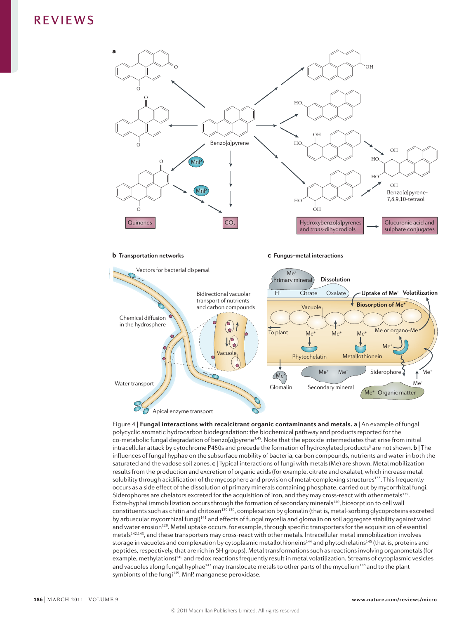

#### **b** Transportation networks **C**

#### $F$ ungus-metal interactions



polycyclic aromatic hydrocarbon biodegradation: the biochemical pathway and products reported for the Figure 4 | **Fungal interactions with recalcitrant organic contaminants and metals. a** | An example of fungal co-metabolic fungal degradation of benzo[*a*]pyrene3,45. Note that the epoxide intermediates that arise from initial intracellular attack by cytochrome P450s and precede the formation of hydroxylated products<sup>3</sup> are not shown. **b** | The influences of fungal hyphae on the subsurface mobility of bacteria, carbon compounds, nutrients and water in both the saturated and the vadose soil zones. **c** | Typical interactions of fungi with metals (Me) are shown. Metal mobilization results from the production and excretion of organic acids (for example, citrate and oxalate), which increase metal solubility through acidification of the mycosphere and provision of metal-complexing structures<sup>138</sup>. This frequently occurs as a side effect of the dissolution of primary minerals containing phosphate, carried out by mycorrhizal fungi. Siderophores are chelators excreted for the acquisition of iron, and they may cross-react with other metals<sup>139</sup>. Extra-hyphal immobilization occurs through the formation of secondary minerals<sup>140</sup>, biosorption to cell wall constituents such as chitin and chitosan<sup>129,130</sup>, complexation by glomalin (that is, metal-sorbing glycoproteins excreted by arbuscular mycorrhizal fungi)141 and effects of fungal mycelia and glomalin on soil aggregate stability against wind and water erosion<sup>120</sup>. Metal uptake occurs, for example, through specific transporters for the acquisition of essential metals142,143, and these transporters may cross-react with other metals. Intracellular metal immobilization involves storage in vacuoles and complexation by cytoplasmic metallothioneins<sup>144</sup> and phytochelatins<sup>145</sup> (that is, proteins and peptides, respectively, that are rich in SH groups). Metal transformations such as reactions involving organometals (for example, methylations)<sup>146</sup> and redox reactions frequently result in metal volatilization. Streams of cytoplasmic vesicles and vacuoles along fungal hyphae<sup>147</sup> may translocate metals to other parts of the mycelium<sup>148</sup> and to the plant symbionts of the fungi<sup>149</sup>. MnP, manganese peroxidase.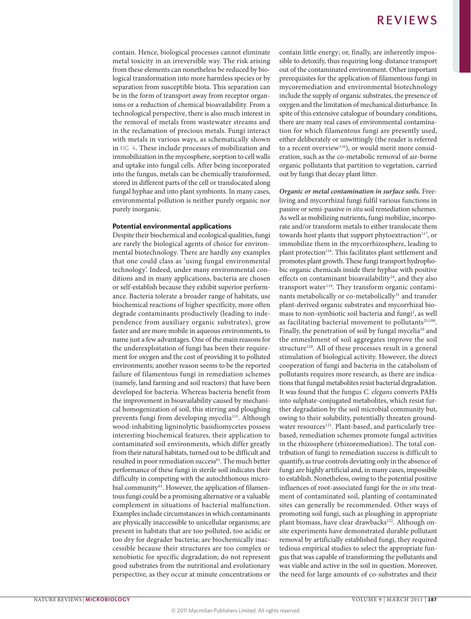contain. hence, biological processes cannot eliminate metal toxicity in an irreversible way. The risk arising from these elements can nonetheless be reduced by biological transformation into more harmless species or by separation from susceptible biota. This separation can be in the form of transport away from receptor organisms or a reduction of chemical bioavailability. From a technological perspective, there is also much interest in the removal of metals from wastewater streams and in the reclamation of precious metals. Fungi interact with metals in various ways, as schematically shown in FIG. 4. These include processes of mobilization and immobilization in the mycosphere, sorption to cell walls and uptake into fungal cells. After being incorporated into the fungus, metals can be chemically transformed, stored in different parts of the cell or translocated along fungal hyphae and into plant symbionts. In many cases, environmental pollution is neither purely organic nor purely inorganic.

#### potential environmental applications

Despite their biochemical and ecological qualities, fungi are rarely the biological agents of choice for environmental biotechnology. There are hardly any examples that one could class as 'using fungal environmental technology'. Indeed, under many environmental conditions and in many applications, bacteria are chosen or self-establish because they exhibit superior performance. Bacteria tolerate a broader range of habitats, use biochemical reactions of higher specificity, more often degrade contaminants productively (leading to independence from auxiliary organic substrates), grow faster and are more mobile in aqueous environments, to name just a few advantages. One of the main reasons for the underexploitation of fungi has been their requirement for oxygen and the cost of providing it to polluted environments; another reason seems to be the reported failure of filamentous fungi in remediation schemes (namely, land farming and soil reactors) that have been developed for bacteria. whereas bacteria benefit from the improvement in bioavailability caused by mechanical homogenization of soil, this stirring and ploughing prevents fungi from developing mycelia<sup>115</sup>. Although wood-inhabiting ligninolytic basidiomycetes possess interesting biochemical features, their application to contaminated soil environments, which differ greatly from their natural habitats, turned out to be difficult and resulted in poor remediation success<sup>61</sup>. The much better performance of these fungi in sterile soil indicates their difficulty in competing with the autochthonous microbial community<sup>61</sup>. However, the application of filamentous fungi could be a promising alternative or a valuable complement in situations of bacterial malfunction. Examples include circumstances in which contaminants are physically inaccessible to unicellular organisms; are present in habitats that are too polluted, too acidic or too dry for degrader bacteria; are biochemically inaccessible because their structures are too complex or xenobiotic for specific degradation; do not represent good substrates from the nutritional and evolutionary perspective, as they occur at minute concentrations or contain little energy; or, finally, are inherently impossible to detoxify, thus requiring long-distance transport out of the contaminated environment. Other important prerequisites for the application of filamentous fungi in mycoremediation and environmental biotechnology include the supply of organic substrates, the presence of oxygen and the limitation of mechanical disturbance. In spite of this extensive catalogue of boundary conditions, there are many real cases of environmental contamination for which filamentous fungi are presently used, either deliberately or unwittingly (the reader is referred to a recent overview<sup>116</sup>), or would merit more consideration, such as the co-metabolic removal of air-borne organic pollutants that partition to vegetation, carried out by fungi that decay plant litter.

*Organic or metal contamination in surface soils.* Freeliving and mycorrhizal fungi fulfil various functions in passive or semi-passive *in situ* soil remediation schemes. As well as mobilizing nutrients, fungi mobilize, incorporate and/or transform metals to either translocate them towards host plants that support phytoextraction<sup>117</sup>, or immobilize them in the mycorrhizosphere, leading to plant protection<sup>118</sup>. This facilitates plant settlement and promotes plant growth. These fungi transport hydrophobic organic chemicals inside their hyphae with positive effects on contaminant bioavailability<sup>24</sup>, and they also transport water<sup>119</sup>. They transform organic contaminants metabolically or co-metabolically<sup>31</sup> and transfer plant-derived organic substrates and mycorrhizal biomass to non-symbiotic soil bacteria and fungi<sup>2</sup>, as well as facilitating bacterial movement to pollutants<sup>25,108</sup>. Finally, the penetration of soil by fungal mycelia<sup>10</sup> and the enmeshment of soil aggregates improve the soil structure<sup>120</sup>. All of these processes result in a general stimulation of biological activity. However, the direct cooperation of fungi and bacteria in the catabolism of pollutants requires more research, as there are indications that fungal metabolites resist bacterial degradation. It was found that the fungus *C. elegans* converts PAhs into sulphate-conjugated metabolites, which resist further degradation by the soil microbial community but, owing to their solubility, potentially threaten groundwater resources<sup>121</sup>. Plant-based, and particularly treebased, remediation schemes promote fungal activities in the rhizosphere (rhizoremediation). The total contribution of fungi to remediation success is difficult to quantify, as true controls deviating only in the absence of fungi are highly artificial and, in many cases, impossible to establish. Nonetheless, owing to the potential positive influences of root-associated fungi for the *in situ* treatment of contaminated soil, planting of contaminated sites can generally be recommended. Other ways of promoting soil fungi, such as ploughing in appropriate plant biomass, have clear drawbacks<sup>122</sup>. Although onsite experiments have demonstrated durable pollutant removal by artificially established fungi, they required tedious empirical studies to select the appropriate fungus that was capable of transforming the pollutants and was viable and active in the soil in question. moreover, the need for large amounts of co-substrates and their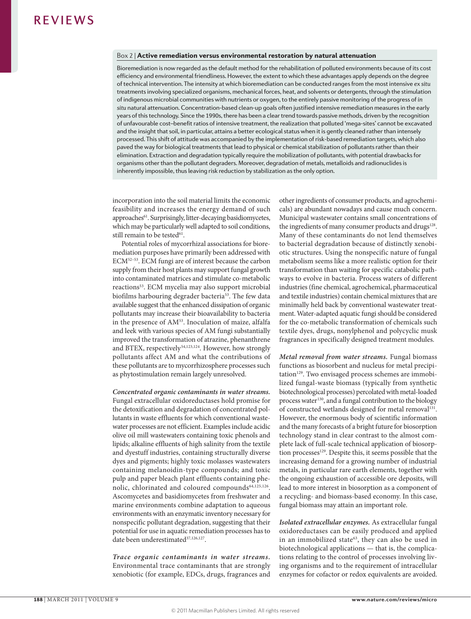#### Box 2 | Active remediation versus environmental restoration by natural attenuation

Bioremediation is now regarded as the default method for the rehabilitation of polluted environments because of its cost efficiency and environmental friendliness. However, the extent to which these advantages apply depends on the degree of technical intervention. The intensity at which bioremediation can be conducted ranges from the most intensive *ex situ* treatments involving specialized organisms, mechanical forces, heat, and solvents or detergents, through the stimulation of indigenous microbial communities with nutrients or oxygen, to the entirely passive monitoring of the progress of *in situ* natural attenuation. Concentration-based clean-up goals often justified intensive remediation measures in the early years of this technology. Since the 1990s, there has been a clear trend towards passive methods, driven by the recognition of unfavourable cost–benefit ratios of intensive treatment, the realization that polluted 'mega-sites' cannot be excavated and the insight that soil, in particular, attains a better ecological status when it is gently cleaned rather than intensely processed. This shift of attitude was accompanied by the implementation of risk-based remediation targets, which also paved the way for biological treatments that lead to physical or chemical stabilization of pollutants rather than their elimination. Extraction and degradation typically require the mobilization of pollutants, with potential drawbacks for organisms other than the pollutant degraders. Moreover, degradation of metals, metalloids and radionuclides is inherently impossible, thus leaving risk reduction by stabilization as the only option.

incorporation into the soil material limits the economic feasibility and increases the energy demand of such approaches<sup>61</sup>. Surprisingly, litter-decaying basidiomycetes, which may be particularly well adapted to soil conditions, still remain to be tested<sup>61</sup>.

Potential roles of mycorrhizal associations for bioremediation purposes have primarily been addressed with ECM<sup>52-53</sup>. ECM fungi are of interest because the carbon supply from their host plants may support fungal growth into contaminated matrices and stimulate co-metabolic reactions<sup>53</sup>. ECM mycelia may also support microbial biofilms harbouring degrader bacteria<sup>53</sup>. The few data available suggest that the enhanced dissipation of organic pollutants may increase their bioavailability to bacteria in the presence of AM<sup>53</sup>. Inoculation of maize, alfalfa and leek with various species of Am fungi substantially improved the transformation of atrazine, phenanthrene and BTEX, respectively<sup>54,123,124</sup>. However, how strongly pollutants affect Am and what the contributions of these pollutants are to mycorrhizosphere processes such as phytostimulation remain largely unresolved.

*Concentrated organic contaminants in water streams.* Fungal extracellular oxidoreductases hold promise for the detoxification and degradation of concentrated pollutants in waste effluents for which conventional wastewater processes are not efficient. Examples include acidic olive oil mill wastewaters containing toxic phenols and lipids; alkaline effluents of high salinity from the textile and dyestuff industries, containing structurally diverse dyes and pigments; highly toxic molasses wastewaters containing melanoidin-type compounds; and toxic pulp and paper bleach plant effluents containing phenolic, chlorinated and coloured compounds<sup>64,125,126</sup>. Ascomycetes and basidiomycetes from freshwater and marine environments combine adaptation to aqueous environments with an enzymatic inventory necessary for nonspecific pollutant degradation, suggesting that their potential for use in aquatic remediation processes has to date been underestimated<sup>37,126,127</sup>.

*Trace organic contaminants in water streams.* Environmental trace contaminants that are strongly xenobiotic (for example, EDCs, drugs, fragrances and

other ingredients of consumer products, and agrochemicals) are abundant nowadays and cause much concern. Municipal wastewater contains small concentrations of the ingredients of many consumer products and drugs<sup>128</sup>. many of these contaminants do not lend themselves to bacterial degradation because of distinctly xenobiotic structures. Using the nonspecific nature of fungal metabolism seems like a more realistic option for their transformation than waiting for specific catabolic pathways to evolve in bacteria. Process waters of different industries (fine chemical, agrochemical, pharmaceutical and textile industries) contain chemical mixtures that are minimally held back by conventional wastewater treatment. water-adapted aquatic fungi should be considered for the co-metabolic transformation of chemicals such textile dyes, drugs, nonylphenol and polycyclic musk fragrances in specifically designed treatment modules.

*Metal removal from water streams.* Fungal biomass functions as biosorbent and nucleus for metal precipitation<sup>129</sup>. Two envisaged process schemes are immobilized fungal-waste biomass (typically from synthetic biotechnological processes) percolated with metal-loaded process water<sup>130</sup>, and a fungal contribution to the biology of constructed wetlands designed for metal removal<sup>131</sup>. however, the enormous body of scientific information and the many forecasts of a bright future for biosorption technology stand in clear contrast to the almost complete lack of full-scale technical application of biosorption processes<sup>129</sup>. Despite this, it seems possible that the increasing demand for a growing number of industrial metals, in particular rare earth elements, together with the ongoing exhaustion of accessible ore deposits, will lead to more interest in biosorption as a component of a recycling- and biomass-based economy. In this case, fungal biomass may attain an important role.

*Isolated extracellular enzymes.* As extracellular fungal oxidoreductases can be easily produced and applied in an immobilized state $63$ , they can also be used in biotechnological applications — that is, the complications relating to the control of processes involving living organisms and to the requirement of intracellular enzymes for cofactor or redox equivalents are avoided.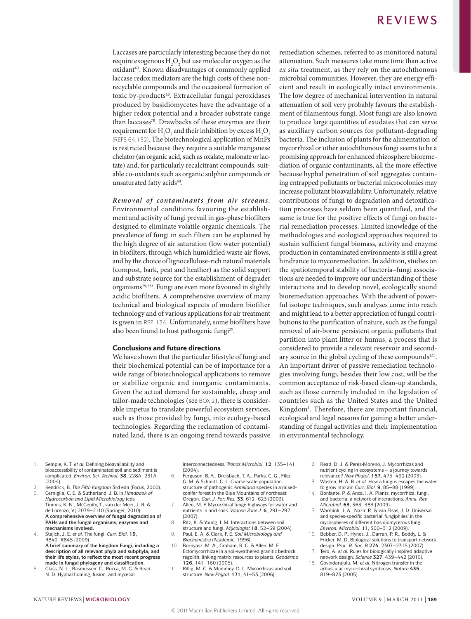laccases are particularly interesting because they do not require exogenous  $H_2O_2$  but use molecular oxygen as the oxidant<sup>63</sup>. Known disadvantages of commonly applied laccase redox mediators are the high costs of these nonrecyclable compounds and the occasional formation of toxic by-products<sup>63</sup>. Extracellular fungal peroxidases produced by basidiomycetes have the advantage of a higher redox potential and a broader substrate range than laccases<sup>70</sup>. Drawbacks of these enzymes are their requirement for  $\rm H_2O_2$  and their inhibition by excess  $\rm H_2O_2$ (REFS 64,132). The biotechnological application of MnPs is restricted because they require a suitable manganese chelator (an organic acid, such as oxalate, malonate or lactate) and, for particularly recalcitrant compounds, suitable co-oxidants such as organic sulphur compounds or unsaturated fatty acids<sup>60</sup>.

*Removal of contaminants from air streams.* Environmental conditions favouring the establishment and activity of fungi prevail in gas-phase biofilters designed to eliminate volatile organic chemicals. The prevalence of fungi in such filters can be explained by the high degree of air saturation (low water potential) in biofilters, through which humidified waste air flows, and by the choice of lignocellulose-rich natural materials (compost, bark, peat and heather) as the solid support and substrate source for the establishment of degrader organisms<sup>29,133</sup>. Fungi are even more favoured in slightly acidic biofilters. A comprehensive overview of many technical and biological aspects of modern biofilter technology and of various applications for air treatment is given in REF. 134. Unfortunately, some biofilters have also been found to host pathogenic fungi<sup>29</sup>.

#### conclusions and future directions

we have shown that the particular lifestyle of fungi and their biochemical potential can be of importance for a wide range of biotechnological applications to remove or stabilize organic and inorganic contaminants. Given the actual demand for sustainable, cheap and tailor-made technologies (see BOX 2), there is considerable impetus to translate powerful ecosystem services, such as those provided by fungi, into ecology-based technologies. Regarding the reclamation of contaminated land, there is an ongoing trend towards passive remediation schemes, referred to as monitored natural attenuation. Such measures take more time than active *ex situ* treatment, as they rely on the autochthonous microbial communities. however, they are energy efficient and result in ecologically intact environments. The low degree of mechanical intervention in natural attenuation of soil very probably favours the establishment of filamentous fungi. Most fungi are also known to produce large quantities of exudates that can serve as auxiliary carbon sources for pollutant-degrading bacteria. The inclusion of plants for the alimentation of mycorrhizal or other autochthonous fungi seems to be a promising approach for enhanced rhizosphere bioremediation of organic contaminants, all the more effective because hyphal penetration of soil aggregates containing entrapped pollutants or bacterial microcolonies may increase pollutant bioavailability. Unfortunately, relative contributions of fungi to degradation and detoxification processes have seldom been quantified, and the same is true for the positive effects of fungi on bacterial remediation processes. limited knowledge of the methodologies and ecological approaches required to sustain sufficient fungal biomass, activity and enzyme production in contaminated environments is still a great hindrance to mycoremediation. In addition, studies on the spatiotemporal stability of bacteria–fungi associations are needed to improve our understanding of these interactions and to develop novel, ecologically sound bioremediation approaches. with the advent of powerful isotope techniques, such analyses come into reach and might lead to a better appreciation of fungal contributions to the purification of nature, such as the fungal removal of air-borne persistent organic pollutants that partition into plant litter or humus, a process that is considered to provide a relevant reservoir and secondary source in the global cycling of these compounds<sup>135</sup>. An important driver of passive remediation technologies involving fungi, besides their low cost, will be the common acceptance of risk-based clean-up standards, such as those currently included in the legislation of countries such as the United States and the United Kingdom1 . Therefore, there are important financial, ecological and legal reasons for gaining a better understanding of fungal activities and their implementation in environmental technology.

- 1. Semple, K. T. *et al.* Defining bioavailability and bioaccessibility of contaminated soil and sediment is complicated. *Environ. Sci. Technol.* **38**, 228A–231A (2004).
- 2. Kendrick, B. *The Fifth Kingdom* 3rd edn (Focus, 2000). 3. Cerniglia, C. E. & Sutherland, J. B. in *Handbook of Hydrocarbon and Lipid Microbiology* (eds Timmis, K. N., McGenity, T., van der Meer, J. R. & de Lorenzo, V.) 2079–2110 (Springer, 2010). **A comprehensive overview of fungal degradation of PAHs and the fungal organisms, enzymes and mechanisms involved.**
- 4. Stajich, J. E. *et al.* The fungi. *Curr. Biol.* **19**, R840–R845 (2009). **A brief summary of the kingdom Fungi, including a description of all relevant phyla and subphyla, and their life styles, to reflect the most recent progress made in fungal phylogeny and classification.**
- 5. Glass, N. L., Rasmussen, C., Rocca, M. G. & Read, N. D. Hyphal homing, fusion, and mycelial

interconnectedness. *Trends Microbiol.* **12**, 135–141 (2004).

- 6. Ferguson, B. A., Dreisbach, T. A., Parks, C. G., Filip, G. M. & Schmitt, C. L. Coarse-scale population structure of pathogenic *Armillaria* species in a mixedconifer forest in the Blue Mountains of northeast Oregon. *Can. J. For. Res.* **33**, 612–623 (2003).
- 7. Allen, M. F. Mycorrhizal fungi: highways for water and nutrients in arid soils. *Vadose Zone J.* **6**, 291–297 (2007).
- 8. Ritz, K. & Young, I. M. Interactions between soil structure and fungi. *Mycologist* **18**, 52–59 (2004).
- 9. Paul, E. A. & Clark, F. E. *Soil Microbiology and Biochemistry* (Academic, 1996).
- 10. Bornyasz, M. A., Graham, R. C. & Allen, M. F. Ectomycorrhizae in a soil-weathered granitic bedrock regolith: linking matrix resources to plants. *Geoderma* **126**, 141–160 (2005).
- 11. Rillig, M. C. & Mummey, D. L. Mycorrhizas and soil structure. *New Phytol.* **171**, 41–53 (2006).
- 12. Read, D. J. & Perez-Moreno, J. Mycorrhizas and nutrient cycling in ecosystems – a journey towards relevance? *New Phytol.* **157**, 475–492 (2003).
- 13. Wösten, H. A. B. *et al.* How a fungus escapes the water to grow into air. *Curr. Biol.* **9**, 85–88 (1999).
- Bonfante, P. & Anca, I. A. Plants, mycorrhizal fungi, and bacteria: a network of interactions. *Annu. Rev. Microbiol.* **63**, 363–383 (2009).
- 15. Warmink, J. A., Nazir, R. & van Elsas, J. D. Universal and species-specific bacterial 'fungiphiles' in the mycospheres of different basidiomycetous fungi. *Environ. Microbiol.* **11**, 300–312 (2009).
- 16. Bebber, D. P., Hynes, J., Darrah, P. R., Boddy, L. & Fricker, M. D. Biological solutions to transport network design. *Proc. R. Soc. B* **274**, 2307–2315 (2007).
- 17. Tero, A. *et al.* Rules for biologically inspired adaptive network design. *Science* **327**, 439–442 (2010). Govindarajulu, M. et al. Nitrogen transfer in the
- arbuscular mycorrhizal symbiosis. *Nature* **435**, 819–823 (2005).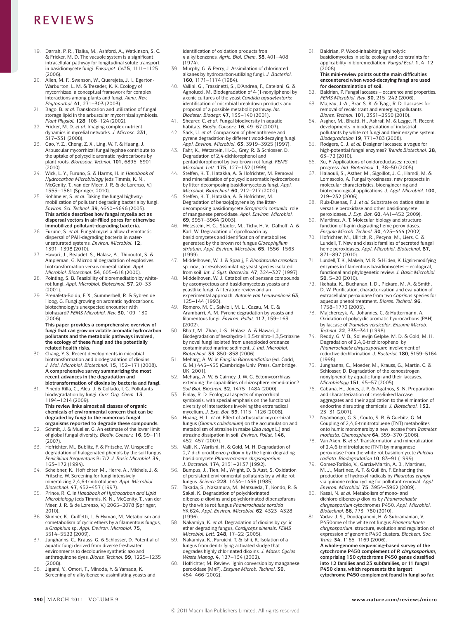- 19. Darrah, P. R., Tlalka, M., Ashford, A., Watkinson, S. C. & Fricker, M. D. The vacuole system is a significant intracellular pathway for longitudinal solute transport in basidiomycete fungi. *Eukaryot. Cell* **5**, 1111–1125 (2006).
- 20. Allen, M. F., Swenson, W., Querejeta, J. I., Egerton-Warburton, L. M. & Treseder, K. K. Ecology of mycorrhizae: a conceptual framework for complex interactions among plants and fungi. *Annu. Rev. Phytopathol.* **41**, 271–303 (2003).
- 21. Bago, B. *et al.* Translocation and utilization of fungal storage lipid in the arbuscular mycorrhizal symbiosis. *Plant Physiol.* **128**, 108–124 (2002).
- 22. Fricker, M. D. *et al.* Imaging complex nutrient dynamics in mycelial networks. *J. Microsc.* **231**, 317–331 (2008).
- 23. Gao, Y. Z., Cheng, Z. X., Ling, W. T. & Huang, J. Arbuscular mycorrhizal fungal hyphae contribute to the uptake of polycyclic aromatic hydrocarbons by plant roots. *Bioresour. Technol.* **101**, 6895–6901 (2010).
- 24. Wick, L. Y., Furuno, S. & Harms, H. in *Handbook of Hydrocarbon Microbiology* (eds Timmis, K. N., McGenity, T., van der Meer, J. R. & de Lorenzo, V.) 1555–1561 (Springer, 2010).
- 25. Kohlmeier, S. *et al.* Taking the fungal highway: mobilization of pollutant degrading bacteria by fungi. *Environ. Sci. Technol.* **39**, 4640–4646 (2005). **This article describes how fungal mycelia act as dispersal vectors in air-filled pores for otherwise immobilized pollutant-degrading bacteria.**
- 26. Furuno, S. *et al.* Fungal mycelia allow chemotactic dispersal of PAH-degrading bacteria in waterunsaturated systems. *Environ. Microbiol.* **12**, 1391–1398 (2010).
- 27. Hawari, J., Beaudet, S., Halasz, A., Thiboutot, S. & Ampleman, G. Microbial degradation of explosives: biotransformation versus mineralization. *Appl. Microbiol. Biotechnol.* **54**, 605–618 (2000).
- 28. Pointing, S. B. Feasibility of bioremediation by whiterot fungi. *Appl. Microbiol. Biotechnol.* **57**, 20–33 (2001).
- 29. Prenafeta-Boldú, F. X., Summerbell, R. & Sybren de Hoog, G. Fungi growing on aromatic hydrocarbons: biotechnology's unexpected encounter with biohazard? *FEMS Microbiol. Rev.* **30**, 109–130 (2006).

**This paper provides a comprehensive overview of fungi that can grow on volatile aromatic hydrocarbon pollutants and the metabolic pathways involved, the ecology of these fungi and the potentially related health risks.**

- 30. Chang, Y. S. Recent developments in microbial biotransformation and biodegradation of dioxins. *J. Mol. Microbiol. Biotechnol.* **15**, 152–171 (2008). **A comprehensive survey summarizing the most recent advances in the degradation and biotransformation of dioxins by bacteria and fungi.**
- 31. Pinedo-Rilla, C., Aleu, J. & Collado, I. G. Pollutants biodegradation by fungi. *Curr. Org. Chem.* **13**, 1194–1214 (2009). **This review links almost all classes of organic chemicals of environmental concern that can be**
- **degraded by fungi to the numerous fungal organisms reported to degrade these compounds.** 32. Schmit, J. & Mueller, G. An estimate of the lower limit of global fungal diversity. *Biodiv. Conserv.* **16**, 99–111 (2007).
- 33. Hofrichter, M., Bublitz, F. & Fritsche, W. Unspecific degradation of halogenated phenols by the soil fungus *Penicillium frequentans* Bi 7/2.*J. Basic Microbiol.* **34**, 163–172 (1994).
- Scheibner, K., Hofrichter, M., Herre, A., Michels, J. & Fritsche, W. Screening for fungi intensively mineralizing 2,4,6-trinitrotoluene. *Appl. Microbiol. Biotechnol.* **47**, 452–457 (1997).
- 35. Prince, R. C. in *Handbook of Hydrocarbon and Lipid Microbiology* (eds Timmis, K. N., McGenity, T., van der Meer, J. R. & de Lorenzo, V.) 2065–2078 (Springer, 2010).
- 36. Skinner, K., Cuiffetti, L. & Hyman, M. Metabolism and cometabolism of cyclic ethers by a filamentous fungus, a *Graphium* sp. *Appl. Environ. Microbiol.* **75**, 5514–5522 (2009).
- Junghanns, C., Krauss, G. & Schlosser, D. Potential of aquatic fungi derived from diverse freshwater environments to decolourise synthetic azo and anthraquinone dyes. *Biores. Technol.* **99**, 1225–1235 (2008).
- 38. Jigami, Y., Omori, T., Minoda, Y. & Yamada, K. Screening of *n*-alkylbenzene assimilating yeasts and

identification of oxidation products fron *n*-alkylbenzenes. *Agric. Biol. Chem.* **38**, 401–408  $(1974)$ 

- 39. Murphy, G. & Perry, J. Assimilation of chlorinated alkanes by hydrocarbon-utilizing fungi. *J. Bacteriol.* **160***,* 1171–1174 (1984).
- 40. Vallini, G., Frassinetti, S., D'Andrea, F., Catelani, G. & Agnolucci, M. Biodegradation of 4-(1-nonyl)phenol by axenic cultures of the yeast *Candida aquaetextoris*: identification of microbial breakdown products and proposal of a possible metabolic pathway. *Int. Biodeter. Biodegr.* **47**, 133–140 (2001).
- 41. Shearer, C. *et al.* Fungal biodiversity in aquatic habitats. *Biodiv. Conserv.* **16**, 49–67 (2007).
- 42. Sack, U. *et al.* Comparison of phenanthrene and pyrene degradation by different wood-decaying fungi. *Appl. Environ. Microbiol.* **63**, 3919–3925 (1997).
- 43. Fahr, K., Wetzstein, H.-G., Grey, R. & Schlosser, D. Degradation of 2,4-dichlorophenol and pentachlorophenol by two brown rot fungi. *FEMS Microbiol. Lett.* **175**, 127–132 (1999).
- Steffen, K. T., Hatakka, A. & Hofrichter, M. Removal and mineralization of polycyclic aromatic hydrocarbons by litter-decomposing basidiomycetous fungi. *Appl. Microbiol. Biotechnol.* **60**, 212–217 (2002).
- Steffen, K. T., Hatakka, A. & Hofrichter, M. Degradation of benzo[*a*]pyrene by the litterdecomposing basidiomycete *Stropharia coronilla*: role of manganese peroxidase. *Appl. Environ. Microbiol.* **69**, 3957–3964 (2003).
- 46. Wetzstein, H.-G., Stadler, M., Tichy, H.-V., Dalhoff, A. & Karl, W. Degradation of ciprofloxacin by basidiomycetes and identification of metabolites generated by the brown rot fungus *Gloeophyllum striatum*. *Appl. Environ. Microbiol.* **65**, 1556–1563 (1999).
- 47. Middelhoven, W. J. & Spaaij, F. *Rhodotorula cresolica* sp. nov., a cresol-assimilating yeast species isolated from soil. *Int. J. Syst. Bacteriol.* **47**, 324–327 (1997).
- 48. Middelhoven, W. J. Catabolism of benzene compounds by ascomycetous and basidiomycetous yeasts and yeastlike fungi. A literature review and an experimental approach. *Antonie van Leeuwenhoek* **63**, 125–144 (1993).
- 49. Romero, M. C., Salvioli, M. L., Cazau, M. C. & Arambarri, A. M. Pyrene degradation by yeasts and filamentous fungi. *Environ. Pollut.* **117**, 159–163 (2002).
- 50. Bhatt, M., Zhao, J.-S., Halasz, A. & Hawari, J. Biodegradation of hexahydro-1,3,5-trinitro-1,3,5-triazine by novel fungi isolated from unexploded ordnance contaminated marine sediment. *J. Ind. Microbiol.*
- *Biotechnol.* **33**, 850–858 (2006). 51. Meharg, A. W. in *Fungi in Bioremediation* (ed. Gadd, G. M.) 445–455 (Cambridge Univ. Press, Cambridge, UK, 2001).
- 52. Meharg, A. W. & Cairney, J. W. G. Ectomycorrhizas extending the capabilities of rhizosphere remediation? *Soil Biol. Biochem.* **32**, 1475–1484 (2000).
- 53. Finlay, R. D. Ecological aspects of mycorrhizal symbiosis: with special emphasis on the functional diversity of interactions involving the extraradical mycelium. *J. Exp. Bot.* **59**, 1115–1126 (2008).
- 54. Huang, H. L. *et al.* Effect of arbuscular mycorrhizal fungus (*Glomus caledonium*) on the accumulation and metabolism of atrazine in maize (*Zea mays* L.) and atrazine dissipation in soil. *Environ. Pollut.* **146**, 452–457 (2007).
- 55. Valli, K., Wariishi, H. & Gold, M. H. Degradation of 2,7-dichlorodibenzo-*p*-dioxin by the lignin-degrading basidiomycete *Phanerochaete chrysosporium*. *J. Bacteriol.* **174**, 2131–2137 (1992).
- 56. Bumpus, J., Tien, M., Wright, D. & Aust, S. Oxidation of persistent environmental pollutants by a white rot fungus. *Science* **228**, 1434–1436 (1985).
- 57. Takada, S., Nakamura, M., Matsueda, T., Kondo, R. & Sakai, K. Degradation of polychlorinated dibenzo-*p*-dioxins and polychlorinated dibenzofurans by the white rot fungus *Phanerochaete sordida* YK-624. *Appl. Environ. Microbiol.* **62**, 4323–4328 (1996).
- 58. Nakamiya, K. *et al.* Degradation of dioxins by cyclic ether degrading fungus, *Cordyceps sinensis*. *FEMS Microbiol. Lett.* **248**, 17–22 (2005).
- 59. Nakamiya, K., Furuichi, T. & Ishii, K. Isolation of a fungus from denitrifying activated sludge that degrades highly chlorinated dioxins. *J. Mater. Cycles Waste Manag.* **4**, 127–134 (2002).
- 60. Hofrichter, M. Review: lignin conversion by manganese peroxidase (MnP). *Enzyme Microb. Technol.* **30**, 454–466 (2002).

61. Baldrian, P. Wood-inhabiting ligninolytic basidiomycetes in soils: ecology and constraints for applicability in bioremediation. *Fungal Ecol.* **1**, 4–12 (2008). **This mini-review points out the main difficulties** 

**encountered when wood-decaying fungi are used for decontamination of soil.**

- 62. Baldrian, P. Fungal laccases occurence and properties. *FEMS Microbiol. Rev.* **30**, 215–242 (2006).
- 63. Majeau, J.-A., Brar, S. K. & Tyagi, R. D. Laccases for removal of recalcitrant and emerging pollutants. *Biores. Technol.* **101**, 2331–2350 (2010).
- 64. Asgher, M., Bhatti, H., Ashraf, M. & Legge, R. Recent developments in biodegradation of industrial pollutants by white rot fungi and their enzyme system. *Biodegradation* **19**, 771–783 (2008).
- 65. Rodgers, C. J. *et al.* Designer laccases: a vogue for high-potential fungal enzymes? *Trends Biotechnol.* **28**, 63–72 (2010).
- 66. Xu, F. Applications of oxidoreductases: recent
- progress. *Ind. Biotechnol.* **1**, 38–50 (2005). 67. Halaouli, S., Asther, M., Sigoillot, J. C., Hamdi, M. & Lomascolo, A. Fungal tyrosinases: new prospects in molecular characteristics, bioengineering and biotechnological applications. *J. Appl. Microbiol.* **100**, 219–232 (2006).
- 68. Ruiz-Duenas, F. J. *et al.* Substrate oxidation sites in versatile peroxidase and other basidiomycete peroxidases. *J. Exp. Bot.* **60**, 441–452 (2009).
- 69. Martínez, A. T. Molecular biology and structurefunction of lignin-degrading heme peroxidases. *Enzyme Microb. Technol.* **30**, 425–444 (2002).
- 70. Hofrichter, M., Ullrich, R., Pecyna, M., Liers, C. & Lundell, T. New and classic families of secreted fungal heme peroxidases. *Appl. Microbiol. Biotechnol.* **87**, 871–897 (2010).
- 71. Lundell, T. K., Mäkelä, M. R. & Hildén, K. Lignin-modifying enzymes in filamentous basidiomycetes – ecological functional and phylogenetic review. *J. Basic Microbiol.* **50**, 5–20 (2010).
- 72. Ikehata, K., Buchanan, I. D., Pickard, M. A. & Smith, D. W. Purification, characterization and evaluation of extracellular peroxidase from two *Coprinus* species for aqueous phenol treatment. *Biores. Technol.* **96**, 1758–1770 (2005).
- 73. Majcherczyk, A., Johannes, C. & Huttermann, A. Oxidation of polycyclic aromatic hydrocarbons (PAH) by laccase of *Trametes versicolor*. *Enzyme Microb. Technol.* **22**, 335–341 (1998).
- Reddy, G. V. B., Sollewijn Gelpke, M. D. & Gold, M. H. Degradation of 2,4,6-trichlorophenol by *Phanerochaete chrysosporium*: involvement of reductive dechlorination. *J. Bacteriol.* **180**, 5159–5164 (1998).
- 75. Junghanns, C., Moeder, M., Krauss, G., Martin, C. & Schlosser, D. Degradation of the xenoestrogen nonylphenol by aquatic fungi and their laccases.
- *Microbiology* **151**, 45–57 (2005). 76. Cabana, H., Jones, J. P. & Agathos, S. N. Preparation and characterization of cross-linked laccase aggregates and their application to the elimination of endocrine disrupting chemicals. *J. Biotechnol.* **132**, 23–31 (2007).
- 77. Nyanhongo, G. S., Couto, S. R. & Guebitz, G. M. Coupling of 2,4,6-trinitrotoluene (TNT) metabolites onto humic monomers by a new laccase from *Trametes modesta*. *Chemosphere* **64**, 359–370 (2006).
- Van Aken, B. et al. Transformation and mineralization of 2,4,6-trinitrotoluene (TNT) by manganese peroxidase from the white-rot basidiomycete *Phlebia radiata*. *Biodegradation* **10**, 83–91 (1999).
- Gomez-Toribio, V., Garcia-Martin, A. B., Martinez, M. J., Martinez, A. T. & Guillén, F. Enhancing the production of hydroxyl radicals by *Pleurotus eryngii* via quinone redox cycling for pollutant removal. *Appl. Environ. Microbiol.* **75**, 3954–3962 (2009).
- 80. Kasai, N. *et al.* Metabolism of mono- and dichloro-dibenzo-*p*-dioxins by *Phanerochaete chrysosporium* cytochromes P450. *Appl. Microbiol. Biotechnol.* **86**, 773–780 (2010).
- 81. Yadav, J. S., Doddapaneni, H. & Subramanian, V. P450ome of the white rot fungus *Phanerochaete chrysosporium*: structure, evolution and regulation of expression of genomic P450 clusters. *Biochem. Soc. Trans.* **34**, 1165–1169 (2006). **A whole-genome sequencing-based survey of the cytochrome P450 complement of** *P. chrysosporium***, comprising 150 cytochrome P450 genes classified into 12 families and 23 subfamilies, or 11 fungal P450 clans, which represents the largest cytochrome P450 complement found in fungi so far.**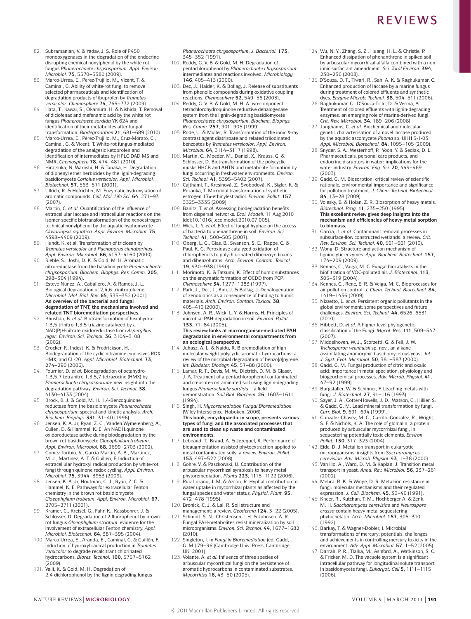- 82. Subramanian, V. & Yadav, J. S. Role of P450 monooxygenases in the degradation of the endocrinedisrupting chemical nonylphenol by the white rot fungus *Phanerochaete chrysosporium*. *Appl. Environ. Microbiol.* **75**, 5570–5580 (2009).
- 83. Marco-Urrea, E., Perez-Trujillo, M., Vicent, T. & Caminal, G. Ability of white-rot fungi to remove selected pharmaceuticals and identification of degradation products of ibuprofen by *Trametes versicolor*. *Chemosphere* **74**, 765–772 (2009).
- 84. Hata, T., Kawai, S., Okamura, H. & Nishida, T. Removal of diclofenac and mefenamic acid by the white rot fungus *Phanerochaete sordida* YK-624 and identification of their metabolites after fungal transformation. *Biodegradation* **21**, 681–689 (2010).
- 85. Marco-Urrea, E., Pérez-Trujillo, M., Cruz-Morató, C., Caminal, G. & Vicent, T. White-rot fungus-mediated degradation of the analgesic ketoprofen and identification of intermediates by HPLC-DAD-MS and NMR. *Chemosphere* **78**, 474–481 (2010).
- 86. Hiratsuka, N, Wariishi, H. & Tanaka, H. Degradation of diphenyl ether herbicides by the lignin-degrading basidiomycete *Coriolus versicolor*. *Appl. Microbiol. Biotechnol.* **57**, 563–571 (2001).
- 87. Ullrich, R. & Hofrichter, M. Enzymatic hydroxylation of aromatic compounds. *Cell. Mol. Life Sci.* **64**, 271–93 (2007).
- 88. Martin, C. *et al.* Quantification of the influence of extracellular laccase and intracellular reactions on the isomer-specific biotransformation of the xenoestrogen technical nonylphenol by the aquatic hyphomycete *Clavariopsis aquatica*. *Appl. Environ. Microbiol.* **75**, 4398–4409 (2009).
- 89. Hundt, K. et al. Transformation of triclosan by *Trametes versicolor* and *Pycnoporus cinnabarinus*. *Appl. Environ. Microbiol.* **66**, 4157–4160 (2000).
- 90. Rieble S., Joshi, D. K. & Gold, M. H. Aromatic nitroreductase from the basidiomycete *Phanerochaete chrysosporium*. *Biochem. Biophys. Res. Comm.* **205**, 298–304 (1994).
- 91. Esteve-Nunez, A., Caballero, A. & Ramos, J. L. Biological degradation of 2,4,6-trinitrotoluene. *Microbiol. Mol. Biol. Rev.* **65**, 335–352 (2001). **An overview of the bacterial and fungal degradation of TNT, the mechanisms involved and related TNT bioremediation perspectives.**
- 92. Bhushan, B. *et al.* Biotransformation of hexahydro-1,3,5-trinitro-1,3,5-triazine catalyzed by a NAD(P)H:nitrate oxidoreductase from *Aspergillus niger*. *Environ. Sci. Technol.* **36**, 3104–3108 (2002).
- 93. Crocker, F., Indest, K. & Fredrickson, H. Biodegradation of the cyclic nitramine explosives RDX, HMX, and CL-20. *Appl. Microbiol. Biotechnol.* **73**, 274–290 (2006).
- Fournier, D. *et al.* Biodegradation of octahydro-1,3,5,7-tetranitro-1,3,5,7-tetrazocine (HMX) by *Phanerochaete chrysosporium*: new insight into the degradation pathway. *Environ. Sci. Technol.* **38**, 4130–4133 (2004).
- Brock, B. J. & Gold, M. H. 1,4-Benzoquinone reductase from the basidiomycete *Phanerochaete chrysosporium*: spectral and kinetic analysis. *Arch.*
- *Biochem. Biophys.* **331**, 31–40 (1996). 96. Jensen, K. A. Jr, Ryan, Z. C., Vanden Wymelenberg, A., Cullen, D. & Hammel, K. E. An NADH:quinone oxidoreductase active during biodegradation by the brown-rot basidiomycete *Gloeophyllum trabeum*.
- *Appl. Environ. Microbiol.* **68**, 2699–2703 (2002). 97. Gomez-Toribio, V., Garcia-Martin, A. B., Martinez, M. J., Martinez, A. T. & Guillén, F. Induction of extracellular hydroxyl radical production by white-rot fungi through quinone redox cycling. *Appl. Environ.*
- *Microbiol.* **75**, 3944–3953 (2009). 98. Jensen, K. A. Jr, Houtman, C. J., Ryan, Z. C. & Hammel, K. E. Pathways for extracellular Fenton chemistry in the brown rot basidiomycete *Gloeophyllum trabeum*. *Appl. Environ. Microbiol.* **67**, 2705–2711 (2001).
- 99. Kramer, C., Kreisel, G., Fahr, K., Kassbohrer, J. & Schlosser, D. Degradation of 2-fluorophenol by brown-rot fungus *Gloeophyllum striatum*: evidence for the involvement of extracellular Fenton chemistry. *Appl. Microbiol. Biotechnol.* **64**, 387–395 (2004).
- 100. Marco-Urrea, E., Aranda, E., Caminal, G. & Guillén, F. Induction of hydroxyl radical production in *Trametes versicolor* to degrade recalcitrant chlorinated hydrocarbons. *Biores. Technol.* **100**, 5757–5762 (2009).
- 101. Valli, K. & Gold, M. H. Degradation of 2,4-dichlorophenol by the lignin-degrading fungus

*Phanerochaete chrysosporium*. *J. Bacteriol.* **173**, 345–352 (1991).

- 102. Reddy, G. V. B. & Gold, M. H. Degradation of pentachlorophenol by *Phanerochaete chrysosporium*: intermediates and reactions involved. *Microbiology* **146**, 405–413 (2000).
- 103. Dec, J., Haider, K. & Bollag, J. Release of substituents from phenolic compounds during oxidative coupling reactions. *Chemosphere* **52**, 549–56 (2003).
- 104. Reddy, G. V. B. & Gold, M. H. A two-component tetrachlorohydroquinone reductive dehalogenase system from the lignin-degrading basidiomycete *Phanerochaete chrysosporium*. *Biochem. Biophys. Res. Comm.* **257**, 901–905 (1999).
- 105. Rode, U. & Muller, R. Transformation of the ionic X-ray contrast agent diatrizoate and related triiodinated benzoates by *Trametes versicolor*. *Appl. Environ. Microbiol.* **64**, 3114–3117 (1998).
- 106. Martin, C., Moeder, M., Daniel, X., Krauss, G. & Schlosser, D. Biotransformation of the polycyclic musks HHCB and AHTN and metabolite formation by fungi occurring in freshwater environments. *Environ. Sci. Technol.* **41**, 5395–5402 (2007).
- 107. Cajthaml, T., Kresinová, Z., Svobodová, K., Sigler, K. & Rezanka, T. Microbial transformation of synthetic estrogen 17α-ethinylestradiol. *Environ. Pollut.* **157**, 3325–3335 (2009).
- 108. Banitz, T. *et al.* Assessing biodegradation benefits from dispersal networks. *Ecol. Modell.* 11 Aug 2010 (doi:10.1016/j.ecolmodel.2010.07.005).
- 109. Wick, L. Y. *et al.* Effect of fungal hyphae on the access of bacteria to phenanthrene in soil. *Environ. Sci. Technol.* **41**, 500–505 (2007).
- 110. Öberg, L. G., Glas, B., Swanson, S. E., Rappe, C. & Paul, K. G. Peroxidase-catalyzed oxidation of chlorophenols to polychlorinated dibenzo-*p*-dioxins and dibenzofurans. *Arch. Environ. Contam. Toxicol.* **19**, 930–938 (1990).
- Morimoto, K. & Tatsumi, K. Effect of humic substances on the enzymatic formation of OCDD from PCP. *Chemosphere* **34**, 1277–1283 (1997).
- 112. Park, J., Dec, J., Kim, J. & Bollag, J. Dehalogenation of xenobiotics as a consequence of binding to humic materials. *Arch. Environ. Contam. Toxicol.* **38**, 405–410 (2000).
- 113. Johnsen, A. R., Wick, L. Y. & Harms, H. Principles of microbial PAH-degradation in soil. *Environ. Pollut.* **133**, 71–84 (2005). **This review looks at microorganism-mediated PAH**
- **degradation in environmental compartments from an ecological perspective.**
- 114. Juhasz, A. L. & Naidu, R. Bioremediation of high molecular weight polycyclic aromatic hydrocarbons: a review of the microbial degradation of benzo[*a*]pyrene. *Int. Biodeter. Biodegr.* **45**, 57–88 (2000).
- 115. Lamar, R. T., Davis, M. W., Dietrich, D. M. & Glaser, J. A. Treatment of a pentachlorophenol-contaminated and creosote-contaminated soil using lignin-degrading fungus *Phanerochaete sordida* – a field demonstration. *Soil Biol. Biochem.* **26**, 1603–1611 (1994).
- 116. Singh, H. *Mycoremediation Fungal Bioremediation* (Wiley Interscience, Hoboken, 2006). **This book, encyclopaedic in scope, presents various types of fungi and the associated processes that are used to clean up waste and contaminated environments.**
- 117. Lebeaud, T., Braud, A. & Jezequel, K. Performance of bioaugmentation-assisted phytoextraction applied to metal contaminated soils: a review. *Environ. Pollut.* **153**, 497–522 (2008).
- 118. Gohre, V. & Paszkowski, U. Contribution of the arbuscular mycorrhizal symbiosis to heavy metal
- phytoremediation. *Planta* **223**, 1115–1122 (2006). 119. Ruiz Lozano, J. M. & Azcon, R. Hyphal contribution to water uptake in mycorrhizal plants as affected by the fungal species and water status. *Physiol. Plant.* **95**, 472–478 (1995).
- 120. Bronick, C. J. & Lal, R. Soil structure and management: a review. *Geoderma* **124**, 3-22 (2005).<br>121. Schmidt, S. N., Christensen J. H. & Johnsen, A. R.
- Fungal PAH-metabolites resist mineralization by soil microorganisms. *Environ. Sci. Technol.* **44**, 1677–1682 (2010).
- 122. Singleton, I. in *Fungi in Bioremediation* (ed. Gadd, G. M.) 79–96 (Cambridge Univ. Press, Cambridge, UK, 2001).
- 123. Volante, A. *et al.* Influence of three species of arbuscular mycorrhizal fungi on the persistence of aromatic hydrocarbons in contaminated substrates. *Mycorrhiza* **16**, 43–50 (2005).
- 124. Wu, N. Y., Zhang, S. Z., Huang, H. L. & Christie, P. Enhanced dissipation of phenanthrene in spiked soil by arbuscular mycorrhizal alfalfa combined with a nonionic surfactant amendment. *Sci. Total Environ.* **394**, 230–236 (2008).
- 125.D'Souza, D. T., Tiwari, R., Sah, A. K. & Raghukumar, C. Enhanced production of laccase by a marine fungus during treatment of colored effluents and synthetic dyes. *Enzyme Microb. Technol.* **38**, 504–511 (2006).
- 126. Raghukumar, C., D'Souza-Ticlo, D. & Verma, A. Treatment of colored effluents with lignin-degrading enzymes: an emerging role of marine-derived fungi. *Crit. Rev. Microbiol.* **34**, 189–206 (2008).
- 127. Junghanns, C. *et al.* Biochemical and molecular genetic characterisation of a novel laccase produced by the aquatic ascomycete *Phoma* sp. UHH 5-1-03. *Appl. Microbiol. Biotechnol.* **84**, 1095–105 (2009).
- 128. Snyder, S. A., Westerhoff, P., Yoon, Y. & Sedlak, D. L. Pharmaceuticals, personal care products, and endocrine disruptors in water: implications for the water industry. *Environ. Eng. Sci.* **20**, 449–469 (2003).
- 129. Gadd, G. M. Biosorption: critical review of scientific rationale, environmental importance and significance for pollution treatment. *J. Chem. Technol. Biotechnol.*
- **84**, 13–28 (2009). 130. Volesky, B. & Holan, Z. R. Biosorption of heavy metals. *Biotechnol. Prog.* **11**, 235–250 (1995). **This excellent review gives deep insights into the mechanism and efficiencies of heavy-metal sorption to biomass.**
- 131. Garcia, J. *et al.* Contaminant removal processes in subsurface-flow constructed wetlands: a review. *Crit. Rev. Environ. Sci. Technol.* **40**, 561–661 (2010).
- 132. Wong, D. Structure and action mechanism of ligninolytic enzymes. *Appl. Biochem. Biotechnol.* **157**, 174–209 (2009).
- 133. Kennes, C., Vaiga, M. C. Fungal biocatalysts in the biofiltration of VOC-polluted air. *J. Biotechnol.* **113**, 305–319 (2004).
- 134. Kennes, C., Rene, E. R. & Veiga, M. C. Bioprocesses for air pollution control. *J. Chem. Technol. Biotechnol.* **84**, 1419–1436 (2009).
- 135. Nizzetto, L. *et al.* Persistent organic pollutants in the global environment: some perspectives and future challenges. *Environ. Sci. Technol.* **44**, 6526–6531  $(2010)$
- 136. Hibbett, D. *et al.* A higher-level phylogenetic classification of the Fungi. *Mycol. Res.* **111**, 509–547 (2007).
- 137. Middelhoven, W. J., Scorzetti, G. & Fell, J. W. *Trichosporon veenhuisii* sp. nov., an alkaneassimilating anamorphic basidiomycetous yeast. *Int. J. Syst. Evol. Microbiol.* **50**, 381–387 (2000).
- 138. Gadd, G. M. Fungal production of citric and oxalic acid: importance in metal speciation, physiology and biogeochemical processes. *Adv. Microb. Physiol.* **41**, 47–92 (1999).
- 139. Burgstaller, W. & Schinner, F. Leaching metals with fungi. *J. Biotechnol.* **27**, 91–116 (1993).
- 140. Sayer, J. A., Cotter-Howells, J. D., Watson, C., Hillier, S. & Gadd, G. M. Lead mineral transformation by fungi. *Curr. Biol.* **9**, 691–694 (1999).
- 141. Gonzalez-Chavez, M. C., Carrillo-Gonzalez, R., Wright, S. F. & Nichols, K. A. The role of glomalin, a protein produced by arbuscular mycorrhizal fungi, in sequestering potentially toxic elements. *Environ. Pollut.* **130**, 317–323 (2004).
- 142. Eide, D. J. Metal ion transport in eukaryotic microorganisms: insights from *Saccharomyces cerevisiae*. *Adv. Microb. Physiol.* **43**, 1–38 (2000).
- 143. Van Ho, A., Ward, D. M. & Kaplan, J. Transition metal transport in yeast. *Annu. Rev. Microbiol.* **56**, 237–261 (2002).
- 144. Mehra, R. K. & Winge, D. R. Metal-ion resistance in fungi: molecular mechanisms and their regulated expression. *J. Cell. Biochem.* **45**, 30–40 (1991).
- 145. Kneer, R., Kutchan, T. M., Hochberger A. & Zenk, M. H. *Saccharomyces cerevisiae* and *Neurospora crassa* contain heavy-metal sequestering phytochelatin. *Arch. Microbiol.* **157**, 305–310 (1992).
- 146. Barkay, T. & Wagner-Dobler, I. Microbial transformations of mercury: potentials, challenges, and achievements in controlling mercury toxicity in the environment. *Adv. Appl. Microbiol.* **57**, 1–52 (2005). 147. Darrah, P. R., Tlalka, M., Ashford, A., Watkinson, S. C.
- & Fricker, M. D. The vacuole system is a significant intracellular pathway for longitudinal solute transport in basidomycete fungi. *Eukaryot. Cell* **5**, 1111–1115 (2006).